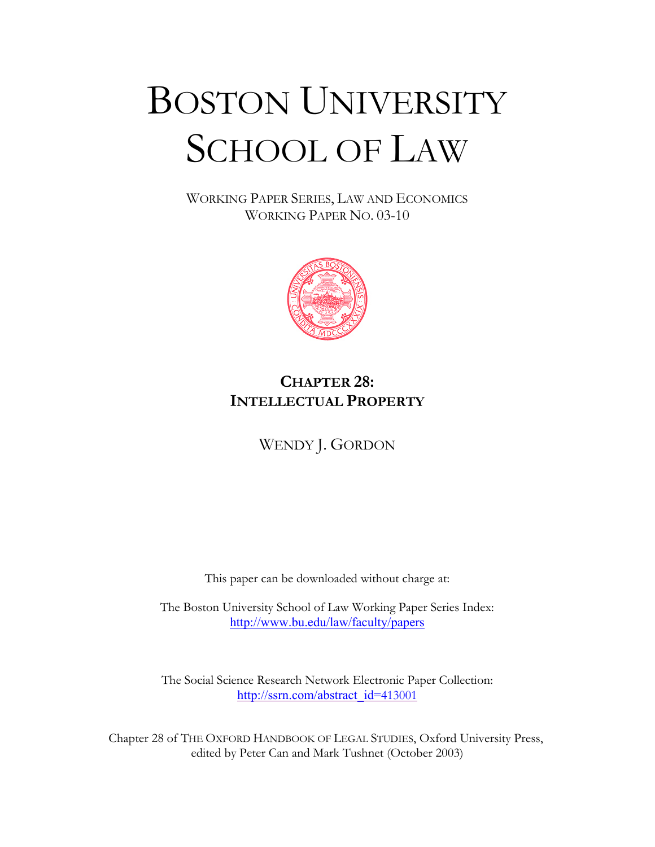# BOSTON UNIVERSITY SCHOOL OF LAW

WORKING PAPER SERIES, LAW AND ECONOMICS WORKING PAPER NO. 03-10



### **CHAPTER 28: INTELLECTUAL PROPERTY**

WENDY J. GORDON

This paper can be downloaded without charge at:

The Boston University School of Law Working Paper Series Index: http://www.bu.edu/law/faculty/papers

The Social Science Research Network Electronic Paper Collection: [http://ssrn.com/abstract\\_id=](http://ssrn.com/abstract_id=413001)413001

Chapter 28 of THE OXFORD HANDBOOK OF LEGAL STUDIES, Oxford University Press, edited by Peter Can and Mark Tushnet (October 2003)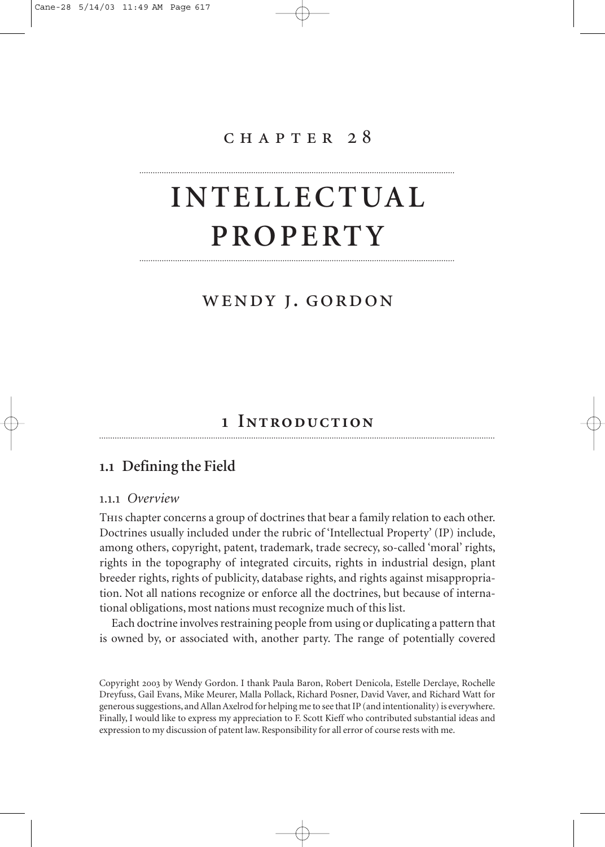### chapter 28

## **INTELLECTUAL PROPERTY**

### wendy j. gordon

### **Introduction**

### **. Defining the Field**

### .. *Overview*

This chapter concerns a group of doctrines that bear a family relation to each other. Doctrines usually included under the rubric of 'Intellectual Property' (IP) include, among others, copyright, patent, trademark, trade secrecy, so-called 'moral' rights, rights in the topography of integrated circuits, rights in industrial design, plant breeder rights, rights of publicity, database rights, and rights against misappropriation. Not all nations recognize or enforce all the doctrines, but because of international obligations, most nations must recognize much of this list.

Each doctrine involves restraining people from using or duplicating a pattern that is owned by, or associated with, another party. The range of potentially covered

Copyright by Wendy Gordon. I thank Paula Baron, Robert Denicola, Estelle Derclaye, Rochelle Dreyfuss, Gail Evans, Mike Meurer, Malla Pollack, Richard Posner, David Vaver, and Richard Watt for generous suggestions, and Allan Axelrod for helping me to see that IP (and intentionality) is everywhere. Finally, I would like to express my appreciation to F. Scott Kieff who contributed substantial ideas and expression to my discussion of patent law. Responsibility for all error of course rests with me.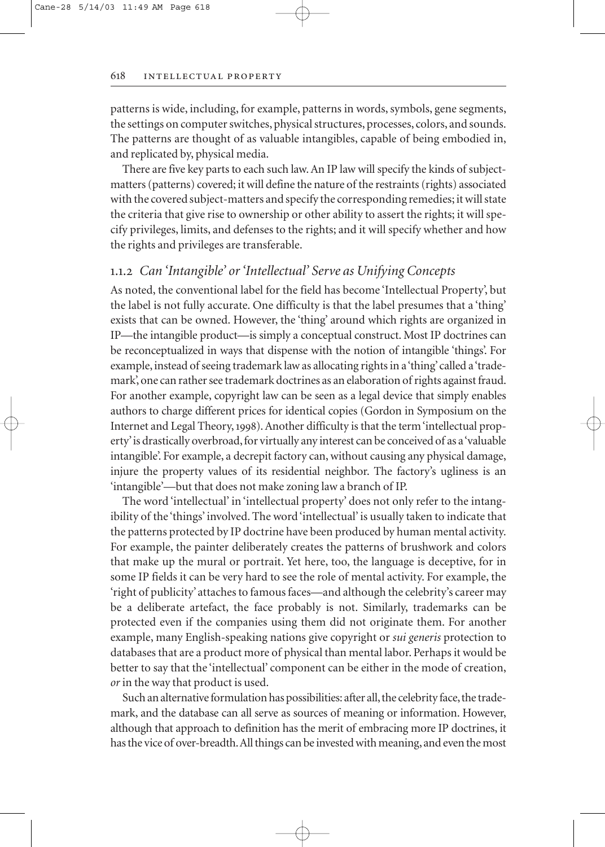patterns is wide, including, for example, patterns in words, symbols, gene segments, the settings on computer switches, physical structures, processes, colors, and sounds. The patterns are thought of as valuable intangibles, capable of being embodied in, and replicated by, physical media.

There are five key parts to each such law. An IP law will specify the kinds of subjectmatters (patterns) covered; it will define the nature of the restraints (rights) associated with the covered subject-matters and specify the corresponding remedies; it will state the criteria that give rise to ownership or other ability to assert the rights; it will specify privileges, limits, and defenses to the rights; and it will specify whether and how the rights and privileges are transferable.

### .. *Can 'Intangible' or 'Intellectual' Serve as Unifying Concepts*

As noted, the conventional label for the field has become 'Intellectual Property', but the label is not fully accurate. One difficulty is that the label presumes that a 'thing' exists that can be owned. However, the 'thing' around which rights are organized in IP—the intangible product—is simply a conceptual construct. Most IP doctrines can be reconceptualized in ways that dispense with the notion of intangible 'things'. For example, instead of seeing trademark law as allocating rights in a 'thing' called a 'trademark', one can rather see trademark doctrines as an elaboration of rights against fraud. For another example, copyright law can be seen as a legal device that simply enables authors to charge different prices for identical copies (Gordon in Symposium on the Internet and Legal Theory, 1998). Another difficulty is that the term 'intellectual property'is drastically overbroad, for virtually any interest can be conceived of as a 'valuable intangible'. For example, a decrepit factory can, without causing any physical damage, injure the property values of its residential neighbor. The factory's ugliness is an 'intangible'—but that does not make zoning law a branch of IP.

The word 'intellectual' in 'intellectual property' does not only refer to the intangibility of the 'things' involved. The word 'intellectual' is usually taken to indicate that the patterns protected by IP doctrine have been produced by human mental activity. For example, the painter deliberately creates the patterns of brushwork and colors that make up the mural or portrait. Yet here, too, the language is deceptive, for in some IP fields it can be very hard to see the role of mental activity. For example, the 'right of publicity' attaches to famous faces—and although the celebrity's career may be a deliberate artefact, the face probably is not. Similarly, trademarks can be protected even if the companies using them did not originate them. For another example, many English-speaking nations give copyright or *sui generis* protection to databases that are a product more of physical than mental labor. Perhaps it would be better to say that the 'intellectual' component can be either in the mode of creation, *or* in the way that product is used.

Such an alternative formulation has possibilities: after all, the celebrity face, the trademark, and the database can all serve as sources of meaning or information. However, although that approach to definition has the merit of embracing more IP doctrines, it has the vice of over-breadth. All things can be invested with meaning, and even the most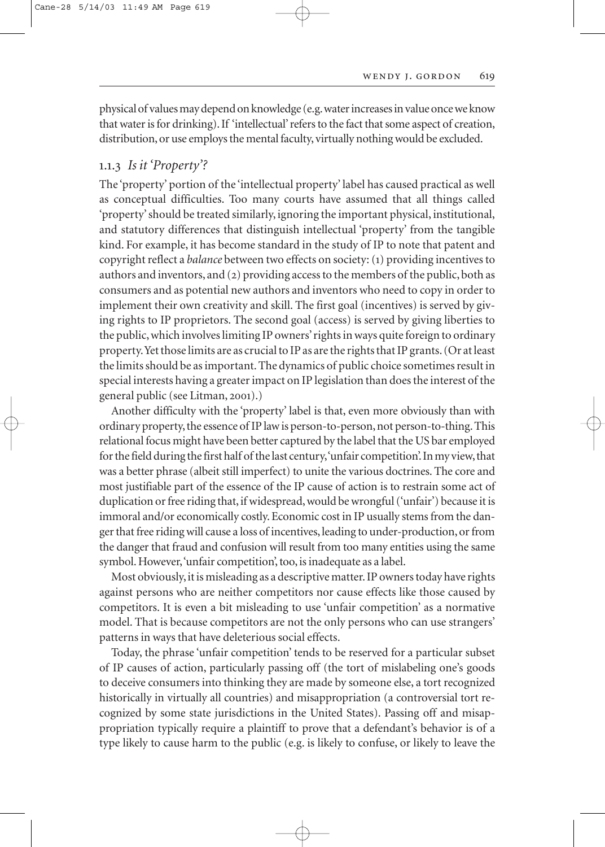physical of values may depend on knowledge (e.g.water increases in value once we know that water is for drinking). If 'intellectual'refers to the fact that some aspect of creation, distribution, or use employs the mental faculty, virtually nothing would be excluded.

### .. *Is it 'Property'?*

The 'property' portion of the 'intellectual property' label has caused practical as well as conceptual difficulties. Too many courts have assumed that all things called 'property' should be treated similarly, ignoring the important physical, institutional, and statutory differences that distinguish intellectual 'property' from the tangible kind. For example, it has become standard in the study of IP to note that patent and copyright reflect a *balance* between two effects on society: () providing incentives to authors and inventors, and  $(2)$  providing access to the members of the public, both as consumers and as potential new authors and inventors who need to copy in order to implement their own creativity and skill. The first goal (incentives) is served by giving rights to IP proprietors. The second goal (access) is served by giving liberties to the public, which involves limiting IP owners'rights in ways quite foreign to ordinary property.Yet those limits are as crucial to IP as are the rights that IP grants.(Or at least the limits should be as important. The dynamics of public choice sometimes result in special interests having a greater impact on IP legislation than does the interest of the general public (see Litman, 2001).)

Another difficulty with the 'property' label is that, even more obviously than with ordinary property, the essence of IP law is person-to-person, not person-to-thing. This relational focus might have been better captured by the label that the US bar employed for the field during the first half of the last century, 'unfair competition'. In my view, that was a better phrase (albeit still imperfect) to unite the various doctrines. The core and most justifiable part of the essence of the IP cause of action is to restrain some act of duplication or free riding that, if widespread, would be wrongful ('unfair') because it is immoral and/or economically costly. Economic cost in IP usually stems from the danger that free riding will cause a loss of incentives, leading to under-production, or from the danger that fraud and confusion will result from too many entities using the same symbol. However, 'unfair competition', too, is inadequate as a label.

Most obviously,it is misleading as a descriptive matter.IP owners today have rights against persons who are neither competitors nor cause effects like those caused by competitors. It is even a bit misleading to use 'unfair competition' as a normative model. That is because competitors are not the only persons who can use strangers' patterns in ways that have deleterious social effects.

Today, the phrase 'unfair competition' tends to be reserved for a particular subset of IP causes of action, particularly passing off (the tort of mislabeling one's goods to deceive consumers into thinking they are made by someone else, a tort recognized historically in virtually all countries) and misappropriation (a controversial tort recognized by some state jurisdictions in the United States). Passing off and misappropriation typically require a plaintiff to prove that a defendant's behavior is of a type likely to cause harm to the public (e.g. is likely to confuse, or likely to leave the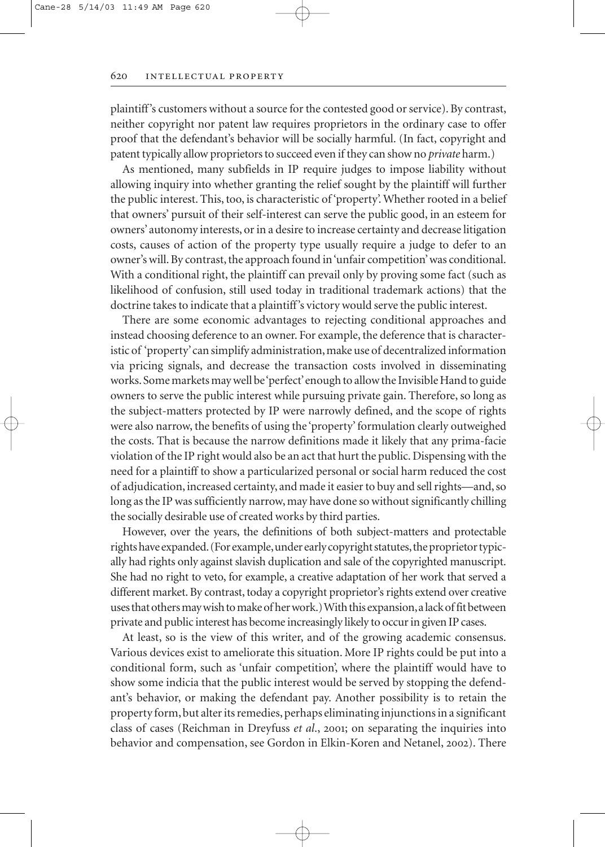plaintiff's customers without a source for the contested good or service). By contrast, neither copyright nor patent law requires proprietors in the ordinary case to offer proof that the defendant's behavior will be socially harmful. (In fact, copyright and patent typically allow proprietors to succeed even if they can show no *private* harm.)

As mentioned, many subfields in IP require judges to impose liability without allowing inquiry into whether granting the relief sought by the plaintiff will further the public interest. This, too, is characteristic of 'property'. Whether rooted in a belief that owners' pursuit of their self-interest can serve the public good, in an esteem for owners' autonomy interests, or in a desire to increase certainty and decrease litigation costs, causes of action of the property type usually require a judge to defer to an owner's will. By contrast, the approach found in 'unfair competition' was conditional. With a conditional right, the plaintiff can prevail only by proving some fact (such as likelihood of confusion, still used today in traditional trademark actions) that the doctrine takes to indicate that a plaintiff's victory would serve the public interest.

There are some economic advantages to rejecting conditional approaches and instead choosing deference to an owner. For example, the deference that is characteristic of 'property'can simplify administration, make use of decentralized information via pricing signals, and decrease the transaction costs involved in disseminating works.Some markets may well be 'perfect'enough to allow the Invisible Hand to guide owners to serve the public interest while pursuing private gain. Therefore, so long as the subject-matters protected by IP were narrowly defined, and the scope of rights were also narrow, the benefits of using the 'property' formulation clearly outweighed the costs. That is because the narrow definitions made it likely that any prima-facie violation of the IP right would also be an act that hurt the public. Dispensing with the need for a plaintiff to show a particularized personal or social harm reduced the cost of adjudication, increased certainty, and made it easier to buy and sell rights—and, so long as the IP was sufficiently narrow, may have done so without significantly chilling the socially desirable use of created works by third parties.

However, over the years, the definitions of both subject-matters and protectable rights have expanded. (For example, under early copyright statutes, the proprietor typically had rights only against slavish duplication and sale of the copyrighted manuscript. She had no right to veto, for example, a creative adaptation of her work that served a different market. By contrast, today a copyright proprietor's rights extend over creative uses that others may wish to make of her work.) With this expansion,a lack of fit between private and public interest has become increasingly likely to occur in given IP cases.

At least, so is the view of this writer, and of the growing academic consensus. Various devices exist to ameliorate this situation. More IP rights could be put into a conditional form, such as 'unfair competition', where the plaintiff would have to show some indicia that the public interest would be served by stopping the defendant's behavior, or making the defendant pay. Another possibility is to retain the property form, but alter its remedies, perhaps eliminating injunctions in a significant class of cases (Reichman in Dreyfuss *et al.*, 2001; on separating the inquiries into behavior and compensation, see Gordon in Elkin-Koren and Netanel, 2002). There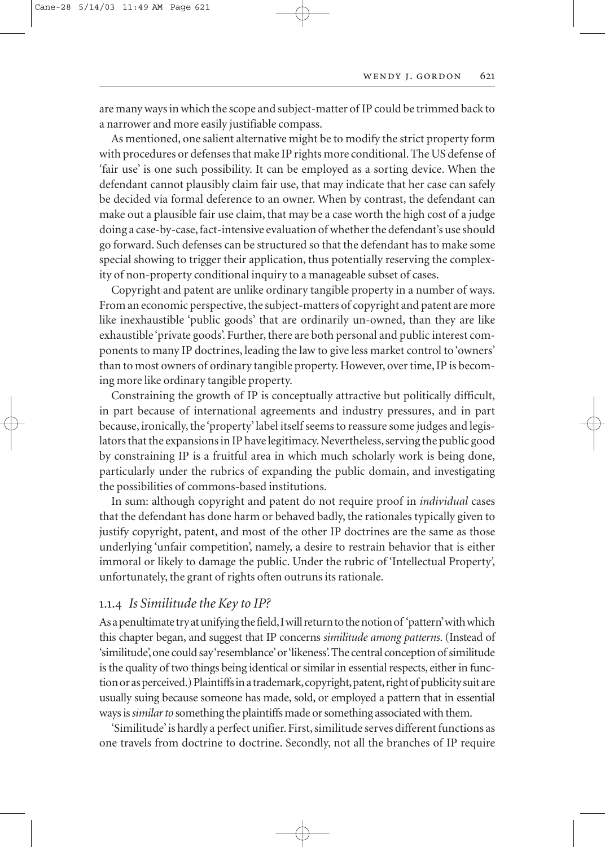are many ways in which the scope and subject-matter of IP could be trimmed back to a narrower and more easily justifiable compass.

As mentioned, one salient alternative might be to modify the strict property form with procedures or defenses that make IP rights more conditional. The US defense of 'fair use' is one such possibility. It can be employed as a sorting device. When the defendant cannot plausibly claim fair use, that may indicate that her case can safely be decided via formal deference to an owner. When by contrast, the defendant can make out a plausible fair use claim, that may be a case worth the high cost of a judge doing a case-by-case, fact-intensive evaluation of whether the defendant's use should go forward. Such defenses can be structured so that the defendant has to make some special showing to trigger their application, thus potentially reserving the complexity of non-property conditional inquiry to a manageable subset of cases.

Copyright and patent are unlike ordinary tangible property in a number of ways. From an economic perspective, the subject-matters of copyright and patent are more like inexhaustible 'public goods' that are ordinarily un-owned, than they are like exhaustible 'private goods'. Further, there are both personal and public interest components to many IP doctrines, leading the law to give less market control to 'owners' than to most owners of ordinary tangible property. However, over time, IP is becoming more like ordinary tangible property.

Constraining the growth of IP is conceptually attractive but politically difficult, in part because of international agreements and industry pressures, and in part because, ironically, the 'property' label itself seems to reassure some judges and legislators that the expansions in IP have legitimacy. Nevertheless, serving the public good by constraining IP is a fruitful area in which much scholarly work is being done, particularly under the rubrics of expanding the public domain, and investigating the possibilities of commons-based institutions.

In sum: although copyright and patent do not require proof in *individual* cases that the defendant has done harm or behaved badly, the rationales typically given to justify copyright, patent, and most of the other IP doctrines are the same as those underlying 'unfair competition', namely, a desire to restrain behavior that is either immoral or likely to damage the public. Under the rubric of 'Intellectual Property', unfortunately, the grant of rights often outruns its rationale.

### .. *Is Similitude the Key to IP?*

As a penultimate try at unifying the field,I will return to the notion of 'pattern'with which this chapter began, and suggest that IP concerns *similitude among patterns*. (Instead of 'similitude',one could say 'resemblance'or 'likeness'.The central conception of similitude is the quality of two things being identical or similar in essential respects, either in function or as perceived.) Plaintiffs in a trademark, copyright, patent, right of publicity suit are usually suing because someone has made, sold, or employed a pattern that in essential ways is *similar to* something the plaintiffs made or something associated with them.

'Similitude'is hardly a perfect unifier. First, similitude serves different functions as one travels from doctrine to doctrine. Secondly, not all the branches of IP require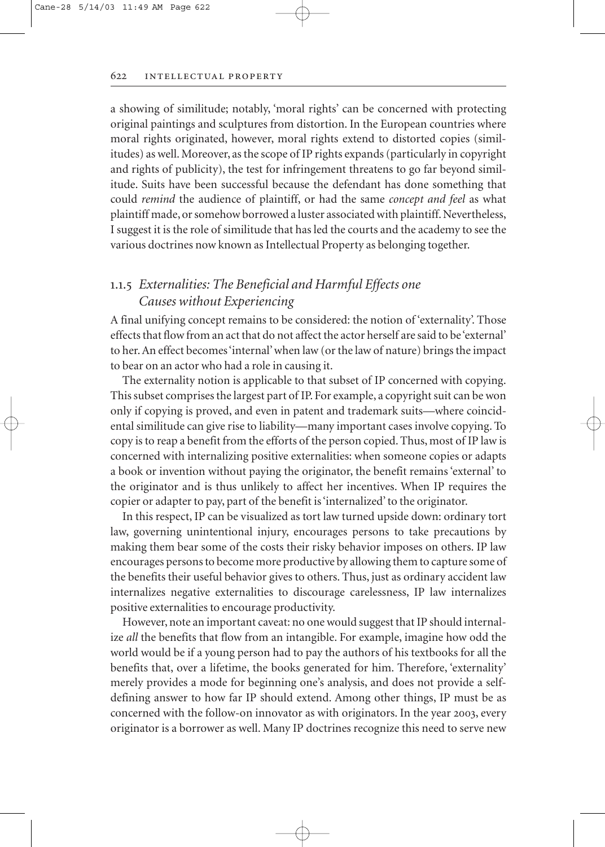### intellectual property

a showing of similitude; notably, 'moral rights' can be concerned with protecting original paintings and sculptures from distortion. In the European countries where moral rights originated, however, moral rights extend to distorted copies (similitudes) as well. Moreover, as the scope of IP rights expands (particularly in copyright and rights of publicity), the test for infringement threatens to go far beyond similitude. Suits have been successful because the defendant has done something that could *remind* the audience of plaintiff, or had the same *concept and feel* as what plaintiff made, or somehow borrowed a luster associated with plaintiff. Nevertheless, I suggest it is the role of similitude that has led the courts and the academy to see the various doctrines now known as Intellectual Property as belonging together.

### .. *Externalities: The Beneficial and Harmful Effects one Causes without Experiencing*

A final unifying concept remains to be considered: the notion of 'externality'. Those effects that flow from an act that do not affect the actor herself are said to be 'external' to her. An effect becomes 'internal' when law (or the law of nature) brings the impact to bear on an actor who had a role in causing it.

The externality notion is applicable to that subset of IP concerned with copying. This subset comprises the largest part of IP. For example, a copyright suit can be won only if copying is proved, and even in patent and trademark suits—where coincidental similitude can give rise to liability—many important cases involve copying. To copy is to reap a benefit from the efforts of the person copied. Thus, most of IP law is concerned with internalizing positive externalities: when someone copies or adapts a book or invention without paying the originator, the benefit remains 'external' to the originator and is thus unlikely to affect her incentives. When IP requires the copier or adapter to pay, part of the benefit is 'internalized' to the originator.

In this respect, IP can be visualized as tort law turned upside down: ordinary tort law, governing unintentional injury, encourages persons to take precautions by making them bear some of the costs their risky behavior imposes on others. IP law encourages persons to become more productive by allowing them to capture some of the benefits their useful behavior gives to others. Thus, just as ordinary accident law internalizes negative externalities to discourage carelessness, IP law internalizes positive externalities to encourage productivity.

However, note an important caveat: no one would suggest that IP should internalize *all* the benefits that flow from an intangible. For example, imagine how odd the world would be if a young person had to pay the authors of his textbooks for all the benefits that, over a lifetime, the books generated for him. Therefore, 'externality' merely provides a mode for beginning one's analysis, and does not provide a selfdefining answer to how far IP should extend. Among other things, IP must be as concerned with the follow-on innovator as with originators. In the year 2003, every originator is a borrower as well. Many IP doctrines recognize this need to serve new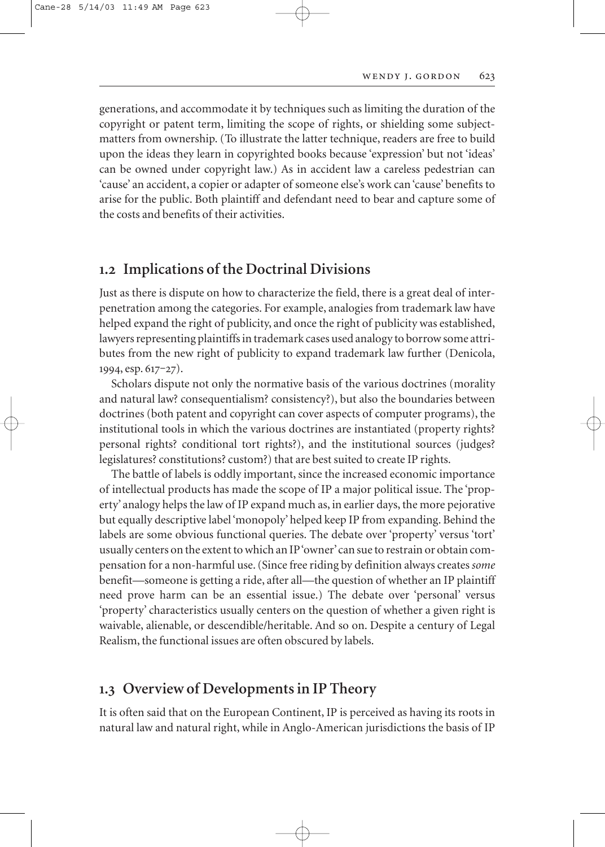generations, and accommodate it by techniques such as limiting the duration of the copyright or patent term, limiting the scope of rights, or shielding some subjectmatters from ownership. (To illustrate the latter technique, readers are free to build upon the ideas they learn in copyrighted books because 'expression' but not 'ideas' can be owned under copyright law.) As in accident law a careless pedestrian can 'cause' an accident, a copier or adapter of someone else's work can 'cause' benefits to arise for the public. Both plaintiff and defendant need to bear and capture some of the costs and benefits of their activities.

### **. Implications of the Doctrinal Divisions**

Just as there is dispute on how to characterize the field, there is a great deal of interpenetration among the categories. For example, analogies from trademark law have helped expand the right of publicity, and once the right of publicity was established, lawyers representing plaintiffs in trademark cases used analogy to borrow some attributes from the new right of publicity to expand trademark law further (Denicola,  $1994,$  esp.  $617-27$ ).

Scholars dispute not only the normative basis of the various doctrines (morality and natural law? consequentialism? consistency?), but also the boundaries between doctrines (both patent and copyright can cover aspects of computer programs), the institutional tools in which the various doctrines are instantiated (property rights? personal rights? conditional tort rights?), and the institutional sources (judges? legislatures? constitutions? custom?) that are best suited to create IP rights.

The battle of labels is oddly important, since the increased economic importance of intellectual products has made the scope of IP a major political issue. The 'property' analogy helps the law of IP expand much as, in earlier days, the more pejorative but equally descriptive label 'monopoly' helped keep IP from expanding. Behind the labels are some obvious functional queries. The debate over 'property' versus 'tort' usually centers on the extent to which an IP 'owner'can sue to restrain or obtain compensation for a non-harmful use. (Since free riding by definition always creates *some* benefit—someone is getting a ride, after all—the question of whether an IP plaintiff need prove harm can be an essential issue.) The debate over 'personal' versus 'property' characteristics usually centers on the question of whether a given right is waivable, alienable, or descendible/heritable. And so on. Despite a century of Legal Realism, the functional issues are often obscured by labels.

### **. Overview of Developments in IP Theory**

It is often said that on the European Continent, IP is perceived as having its roots in natural law and natural right, while in Anglo-American jurisdictions the basis of IP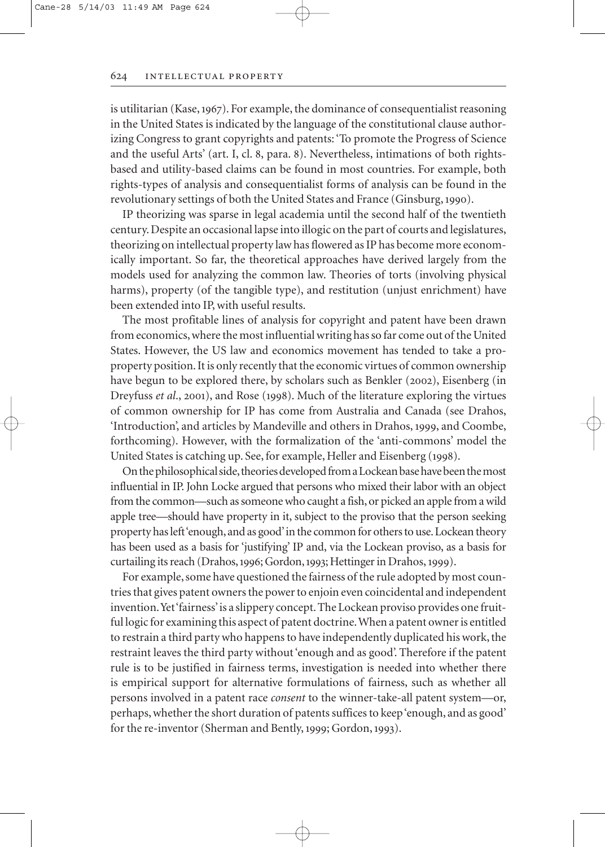#### intellectual property

is utilitarian (Kase, 1967). For example, the dominance of consequentialist reasoning in the United States is indicated by the language of the constitutional clause authorizing Congress to grant copyrights and patents: 'To promote the Progress of Science and the useful Arts' (art. I, cl. 8, para. 8). Nevertheless, intimations of both rightsbased and utility-based claims can be found in most countries. For example, both rights-types of analysis and consequentialist forms of analysis can be found in the revolutionary settings of both the United States and France (Ginsburg, 1990).

IP theorizing was sparse in legal academia until the second half of the twentieth century. Despite an occasional lapse into illogic on the part of courts and legislatures, theorizing on intellectual property law has flowered as IP has become more economically important. So far, the theoretical approaches have derived largely from the models used for analyzing the common law. Theories of torts (involving physical harms), property (of the tangible type), and restitution (unjust enrichment) have been extended into IP, with useful results.

The most profitable lines of analysis for copyright and patent have been drawn from economics, where the most influential writing has so far come out of the United States. However, the US law and economics movement has tended to take a proproperty position. It is only recently that the economic virtues of common ownership have begun to be explored there, by scholars such as Benkler (2002), Eisenberg (in Dreyfuss *et al.*, 2001), and Rose (1998). Much of the literature exploring the virtues of common ownership for IP has come from Australia and Canada (see Drahos, 'Introduction', and articles by Mandeville and others in Drahos, 1999, and Coombe, forthcoming). However, with the formalization of the 'anti-commons' model the United States is catching up. See, for example, Heller and Eisenberg (1998).

On the philosophical side, theories developed from a Lockean base have been the most influential in IP. John Locke argued that persons who mixed their labor with an object from the common—such as someone who caught a fish, or picked an apple from a wild apple tree—should have property in it, subject to the proviso that the person seeking property has left 'enough, and as good' in the common for others to use. Lockean theory has been used as a basis for 'justifying' IP and, via the Lockean proviso, as a basis for curtailing its reach (Drahos, 1996; Gordon, 1993; Hettinger in Drahos, 1999).

For example, some have questioned the fairness of the rule adopted by most countries that gives patent owners the power to enjoin even coincidental and independent invention.Yet 'fairness'is a slippery concept. The Lockean proviso provides one fruitful logic for examining this aspect of patent doctrine.When a patent owner is entitled to restrain a third party who happens to have independently duplicated his work, the restraint leaves the third party without 'enough and as good'. Therefore if the patent rule is to be justified in fairness terms, investigation is needed into whether there is empirical support for alternative formulations of fairness, such as whether all persons involved in a patent race *consent* to the winner-take-all patent system—or, perhaps, whether the short duration of patents suffices to keep 'enough, and as good' for the re-inventor (Sherman and Bently, 1999; Gordon, 1993).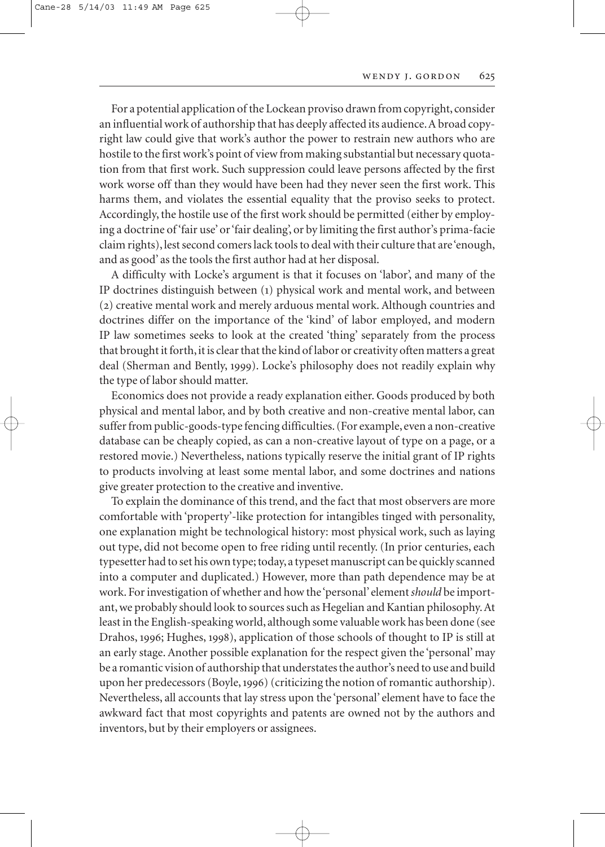For a potential application of the Lockean proviso drawn from copyright, consider an influential work of authorship that has deeply affected its audience.A broad copyright law could give that work's author the power to restrain new authors who are hostile to the first work's point of view from making substantial but necessary quotation from that first work. Such suppression could leave persons affected by the first work worse off than they would have been had they never seen the first work. This harms them, and violates the essential equality that the proviso seeks to protect. Accordingly, the hostile use of the first work should be permitted (either by employing a doctrine of 'fair use' or 'fair dealing', or by limiting the first author's prima-facie claim rights), lest second comers lack tools to deal with their culture that are 'enough, and as good' as the tools the first author had at her disposal.

A difficulty with Locke's argument is that it focuses on 'labor', and many of the IP doctrines distinguish between () physical work and mental work, and between () creative mental work and merely arduous mental work. Although countries and doctrines differ on the importance of the 'kind' of labor employed, and modern IP law sometimes seeks to look at the created 'thing' separately from the process that brought it forth, it is clear that the kind of labor or creativity often matters a great deal (Sherman and Bently, 1999). Locke's philosophy does not readily explain why the type of labor should matter.

Economics does not provide a ready explanation either. Goods produced by both physical and mental labor, and by both creative and non-creative mental labor, can suffer from public-goods-type fencing difficulties. (For example, even a non-creative database can be cheaply copied, as can a non-creative layout of type on a page, or a restored movie.) Nevertheless, nations typically reserve the initial grant of IP rights to products involving at least some mental labor, and some doctrines and nations give greater protection to the creative and inventive.

To explain the dominance of this trend, and the fact that most observers are more comfortable with 'property'-like protection for intangibles tinged with personality, one explanation might be technological history: most physical work, such as laying out type, did not become open to free riding until recently. (In prior centuries, each typesetter had to set his own type; today, a typeset manuscript can be quickly scanned into a computer and duplicated.) However, more than path dependence may be at work. For investigation of whether and how the 'personal' element *should* be important, we probably should look to sources such as Hegelian and Kantian philosophy. At least in the English-speaking world, although some valuable work has been done (see Drahos, 1996; Hughes, 1998), application of those schools of thought to IP is still at an early stage. Another possible explanation for the respect given the 'personal' may be a romantic vision of authorship that understates the author's need to use and build upon her predecessors (Boyle,) (criticizing the notion of romantic authorship). Nevertheless, all accounts that lay stress upon the 'personal' element have to face the awkward fact that most copyrights and patents are owned not by the authors and inventors, but by their employers or assignees.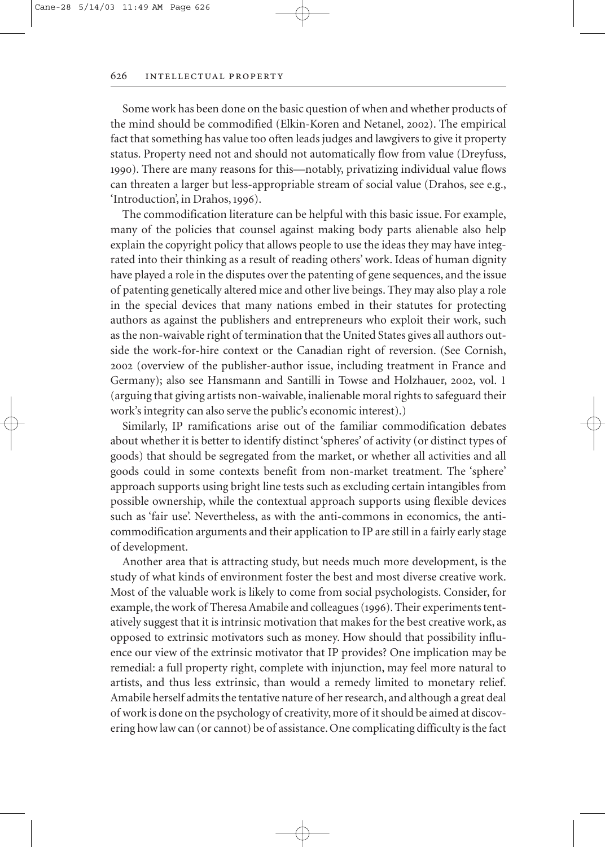Some work has been done on the basic question of when and whether products of the mind should be commodified (Elkin-Koren and Netanel, 2002). The empirical fact that something has value too often leads judges and lawgivers to give it property status. Property need not and should not automatically flow from value (Dreyfuss, ). There are many reasons for this—notably, privatizing individual value flows can threaten a larger but less-appropriable stream of social value (Drahos, see e.g., 'Introduction', in Drahos, 1996).

The commodification literature can be helpful with this basic issue. For example, many of the policies that counsel against making body parts alienable also help explain the copyright policy that allows people to use the ideas they may have integrated into their thinking as a result of reading others' work. Ideas of human dignity have played a role in the disputes over the patenting of gene sequences, and the issue of patenting genetically altered mice and other live beings. They may also play a role in the special devices that many nations embed in their statutes for protecting authors as against the publishers and entrepreneurs who exploit their work, such as the non-waivable right of termination that the United States gives all authors outside the work-for-hire context or the Canadian right of reversion. (See Cornish, (overview of the publisher-author issue, including treatment in France and Germany); also see Hansmann and Santilli in Towse and Holzhauer, 2002, vol. 1 (arguing that giving artists non-waivable, inalienable moral rights to safeguard their work's integrity can also serve the public's economic interest).)

Similarly, IP ramifications arise out of the familiar commodification debates about whether it is better to identify distinct 'spheres' of activity (or distinct types of goods) that should be segregated from the market, or whether all activities and all goods could in some contexts benefit from non-market treatment. The 'sphere' approach supports using bright line tests such as excluding certain intangibles from possible ownership, while the contextual approach supports using flexible devices such as 'fair use'. Nevertheless, as with the anti-commons in economics, the anticommodification arguments and their application to IP are still in a fairly early stage of development.

Another area that is attracting study, but needs much more development, is the study of what kinds of environment foster the best and most diverse creative work. Most of the valuable work is likely to come from social psychologists. Consider, for example, the work of Theresa Amabile and colleagues (1996). Their experiments tentatively suggest that it is intrinsic motivation that makes for the best creative work, as opposed to extrinsic motivators such as money. How should that possibility influence our view of the extrinsic motivator that IP provides? One implication may be remedial: a full property right, complete with injunction, may feel more natural to artists, and thus less extrinsic, than would a remedy limited to monetary relief. Amabile herself admits the tentative nature of her research, and although a great deal of work is done on the psychology of creativity, more of it should be aimed at discovering how law can (or cannot) be of assistance. One complicating difficulty is the fact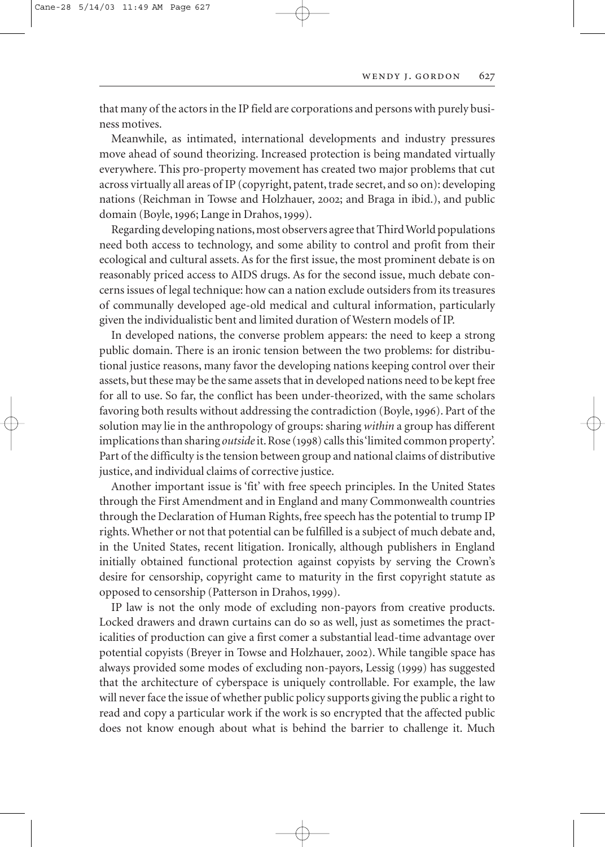that many of the actors in the IP field are corporations and persons with purely business motives.

Meanwhile, as intimated, international developments and industry pressures move ahead of sound theorizing. Increased protection is being mandated virtually everywhere. This pro-property movement has created two major problems that cut across virtually all areas of IP (copyright, patent, trade secret, and so on): developing nations (Reichman in Towse and Holzhauer, 2002; and Braga in ibid.), and public domain (Boyle, 1996; Lange in Drahos, 1999).

Regarding developing nations, most observers agree that Third World populations need both access to technology, and some ability to control and profit from their ecological and cultural assets. As for the first issue, the most prominent debate is on reasonably priced access to AIDS drugs. As for the second issue, much debate concerns issues of legal technique: how can a nation exclude outsiders from its treasures of communally developed age-old medical and cultural information, particularly given the individualistic bent and limited duration of Western models of IP.

In developed nations, the converse problem appears: the need to keep a strong public domain. There is an ironic tension between the two problems: for distributional justice reasons, many favor the developing nations keeping control over their assets, but these may be the same assets that in developed nations need to be kept free for all to use. So far, the conflict has been under-theorized, with the same scholars favoring both results without addressing the contradiction (Boyle, 1996). Part of the solution may lie in the anthropology of groups: sharing *within* a group has different implications than sharing *outside* it. Rose (1998) calls this 'limited common property'. Part of the difficulty is the tension between group and national claims of distributive justice, and individual claims of corrective justice.

Another important issue is 'fit' with free speech principles. In the United States through the First Amendment and in England and many Commonwealth countries through the Declaration of Human Rights, free speech has the potential to trump IP rights. Whether or not that potential can be fulfilled is a subject of much debate and, in the United States, recent litigation. Ironically, although publishers in England initially obtained functional protection against copyists by serving the Crown's desire for censorship, copyright came to maturity in the first copyright statute as opposed to censorship (Patterson in Drahos,).

IP law is not the only mode of excluding non-payors from creative products. Locked drawers and drawn curtains can do so as well, just as sometimes the practicalities of production can give a first comer a substantial lead-time advantage over potential copyists (Breyer in Towse and Holzhauer, 2002). While tangible space has always provided some modes of excluding non-payors, Lessig (1999) has suggested that the architecture of cyberspace is uniquely controllable. For example, the law will never face the issue of whether public policy supports giving the public a right to read and copy a particular work if the work is so encrypted that the affected public does not know enough about what is behind the barrier to challenge it. Much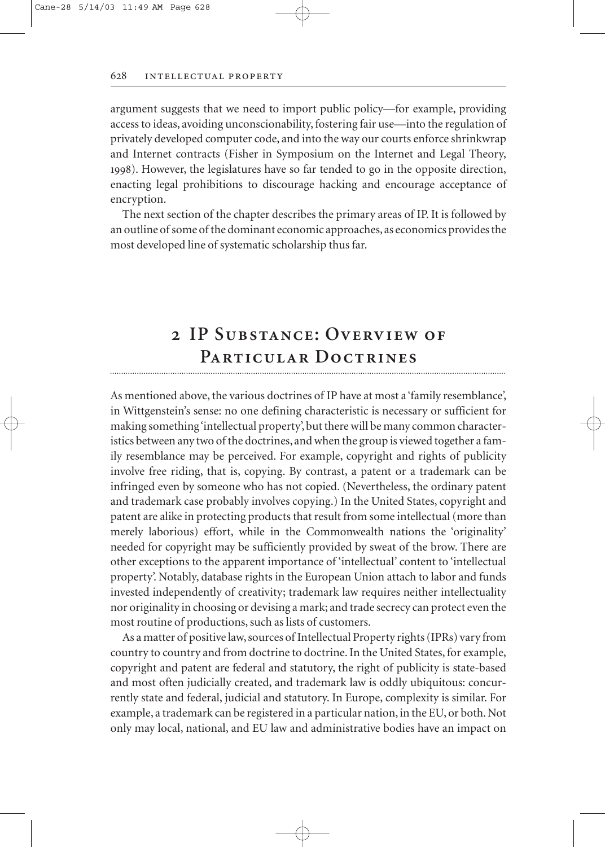argument suggests that we need to import public policy—for example, providing access to ideas, avoiding unconscionability, fostering fair use—into the regulation of privately developed computer code, and into the way our courts enforce shrinkwrap and Internet contracts (Fisher in Symposium on the Internet and Legal Theory, ). However, the legislatures have so far tended to go in the opposite direction, enacting legal prohibitions to discourage hacking and encourage acceptance of encryption.

The next section of the chapter describes the primary areas of IP. It is followed by an outline of some of the dominant economic approaches, as economics provides the most developed line of systematic scholarship thus far.

### **IP Substance: Overview of Particular Doctrines**

As mentioned above, the various doctrines of IP have at most a 'family resemblance', in Wittgenstein's sense: no one defining characteristic is necessary or sufficient for making something 'intellectual property', but there will be many common characteristics between any two of the doctrines, and when the group is viewed together a family resemblance may be perceived. For example, copyright and rights of publicity involve free riding, that is, copying. By contrast, a patent or a trademark can be infringed even by someone who has not copied. (Nevertheless, the ordinary patent and trademark case probably involves copying.) In the United States, copyright and patent are alike in protecting products that result from some intellectual (more than merely laborious) effort, while in the Commonwealth nations the 'originality' needed for copyright may be sufficiently provided by sweat of the brow. There are other exceptions to the apparent importance of 'intellectual' content to 'intellectual property'. Notably, database rights in the European Union attach to labor and funds invested independently of creativity; trademark law requires neither intellectuality nor originality in choosing or devising a mark; and trade secrecy can protect even the most routine of productions, such as lists of customers.

As a matter of positive law, sources of Intellectual Property rights (IPRs) vary from country to country and from doctrine to doctrine. In the United States, for example, copyright and patent are federal and statutory, the right of publicity is state-based and most often judicially created, and trademark law is oddly ubiquitous: concurrently state and federal, judicial and statutory. In Europe, complexity is similar. For example, a trademark can be registered in a particular nation, in the EU, or both. Not only may local, national, and EU law and administrative bodies have an impact on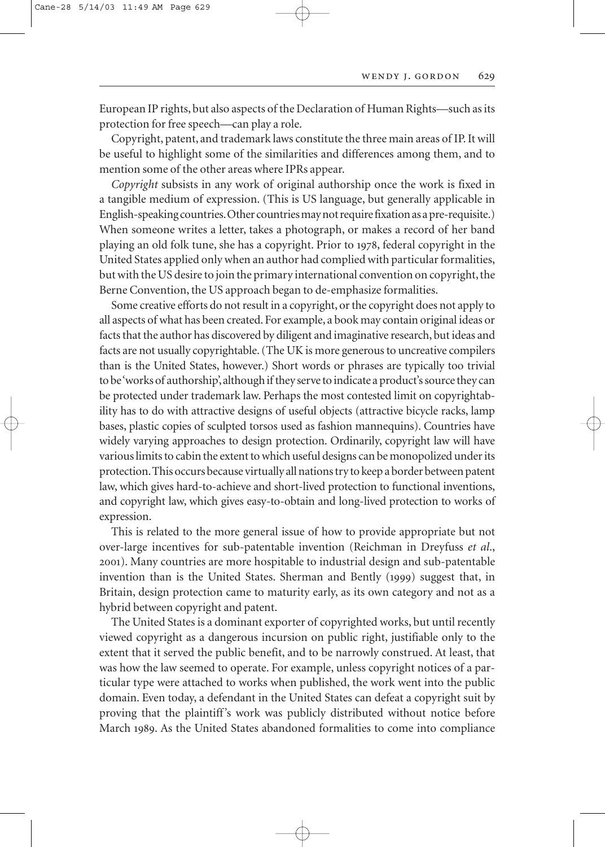European IP rights, but also aspects of the Declaration of Human Rights—such as its protection for free speech—can play a role.

Copyright, patent, and trademark laws constitute the three main areas of IP. It will be useful to highlight some of the similarities and differences among them, and to mention some of the other areas where IPRs appear.

*Copyright* subsists in any work of original authorship once the work is fixed in a tangible medium of expression. (This is US language, but generally applicable in English-speaking countries.Other countries may not require fixation as a pre-requisite.) When someone writes a letter, takes a photograph, or makes a record of her band playing an old folk tune, she has a copyright. Prior to , federal copyright in the United States applied only when an author had complied with particular formalities, but with the US desire to join the primary international convention on copyright, the Berne Convention, the US approach began to de-emphasize formalities.

Some creative efforts do not result in a copyright, or the copyright does not apply to all aspects of what has been created. For example, a book may contain original ideas or facts that the author has discovered by diligent and imaginative research, but ideas and facts are not usually copyrightable. (The UK is more generous to uncreative compilers than is the United States, however.) Short words or phrases are typically too trivial to be 'works of authorship', although if they serve to indicate a product's source they can be protected under trademark law. Perhaps the most contested limit on copyrightability has to do with attractive designs of useful objects (attractive bicycle racks, lamp bases, plastic copies of sculpted torsos used as fashion mannequins). Countries have widely varying approaches to design protection. Ordinarily, copyright law will have various limits to cabin the extent to which useful designs can be monopolized under its protection.This occurs because virtually all nations try to keep a border between patent law, which gives hard-to-achieve and short-lived protection to functional inventions, and copyright law, which gives easy-to-obtain and long-lived protection to works of expression.

This is related to the more general issue of how to provide appropriate but not over-large incentives for sub-patentable invention (Reichman in Dreyfuss *et al*., ). Many countries are more hospitable to industrial design and sub-patentable invention than is the United States. Sherman and Bently (1999) suggest that, in Britain, design protection came to maturity early, as its own category and not as a hybrid between copyright and patent.

The United States is a dominant exporter of copyrighted works, but until recently viewed copyright as a dangerous incursion on public right, justifiable only to the extent that it served the public benefit, and to be narrowly construed. At least, that was how the law seemed to operate. For example, unless copyright notices of a particular type were attached to works when published, the work went into the public domain. Even today, a defendant in the United States can defeat a copyright suit by proving that the plaintiff's work was publicly distributed without notice before March 1989. As the United States abandoned formalities to come into compliance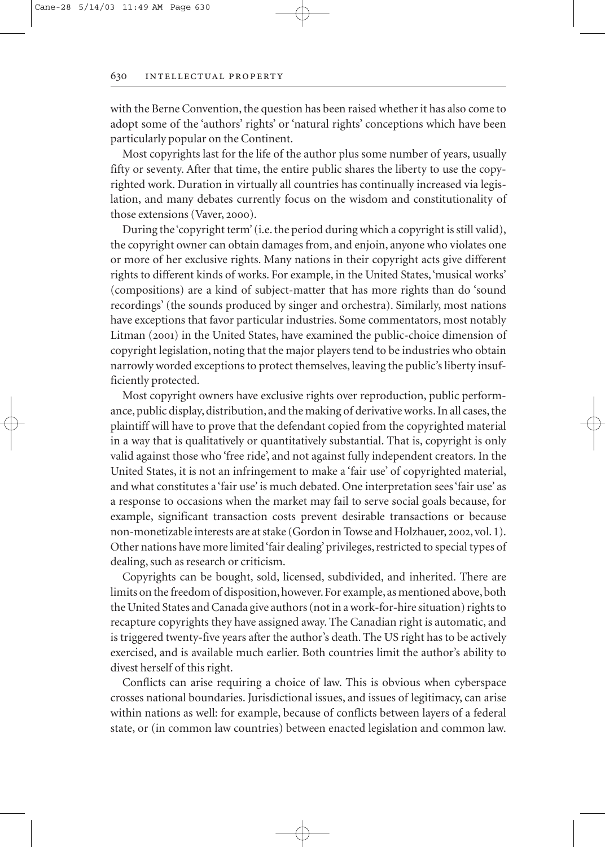with the Berne Convention, the question has been raised whether it has also come to adopt some of the 'authors' rights' or 'natural rights' conceptions which have been particularly popular on the Continent.

Most copyrights last for the life of the author plus some number of years, usually fifty or seventy. After that time, the entire public shares the liberty to use the copyrighted work. Duration in virtually all countries has continually increased via legislation, and many debates currently focus on the wisdom and constitutionality of those extensions (Vaver, 2000).

During the 'copyright term' (i.e. the period during which a copyright is still valid), the copyright owner can obtain damages from, and enjoin, anyone who violates one or more of her exclusive rights. Many nations in their copyright acts give different rights to different kinds of works. For example, in the United States,'musical works' (compositions) are a kind of subject-matter that has more rights than do 'sound recordings' (the sounds produced by singer and orchestra). Similarly, most nations have exceptions that favor particular industries. Some commentators, most notably Litman (2001) in the United States, have examined the public-choice dimension of copyright legislation, noting that the major players tend to be industries who obtain narrowly worded exceptions to protect themselves, leaving the public's liberty insufficiently protected.

Most copyright owners have exclusive rights over reproduction, public performance, public display, distribution, and the making of derivative works. In all cases, the plaintiff will have to prove that the defendant copied from the copyrighted material in a way that is qualitatively or quantitatively substantial. That is, copyright is only valid against those who 'free ride', and not against fully independent creators. In the United States, it is not an infringement to make a 'fair use' of copyrighted material, and what constitutes a 'fair use' is much debated. One interpretation sees 'fair use' as a response to occasions when the market may fail to serve social goals because, for example, significant transaction costs prevent desirable transactions or because non-monetizable interests are at stake (Gordon in Towse and Holzhauer, 2002, vol. 1). Other nations have more limited 'fair dealing' privileges, restricted to special types of dealing, such as research or criticism.

Copyrights can be bought, sold, licensed, subdivided, and inherited. There are limits on the freedom of disposition, however. For example, as mentioned above, both the United States and Canada give authors (not in a work-for-hire situation) rights to recapture copyrights they have assigned away. The Canadian right is automatic, and is triggered twenty-five years after the author's death. The US right has to be actively exercised, and is available much earlier. Both countries limit the author's ability to divest herself of this right.

Conflicts can arise requiring a choice of law. This is obvious when cyberspace crosses national boundaries. Jurisdictional issues, and issues of legitimacy, can arise within nations as well: for example, because of conflicts between layers of a federal state, or (in common law countries) between enacted legislation and common law.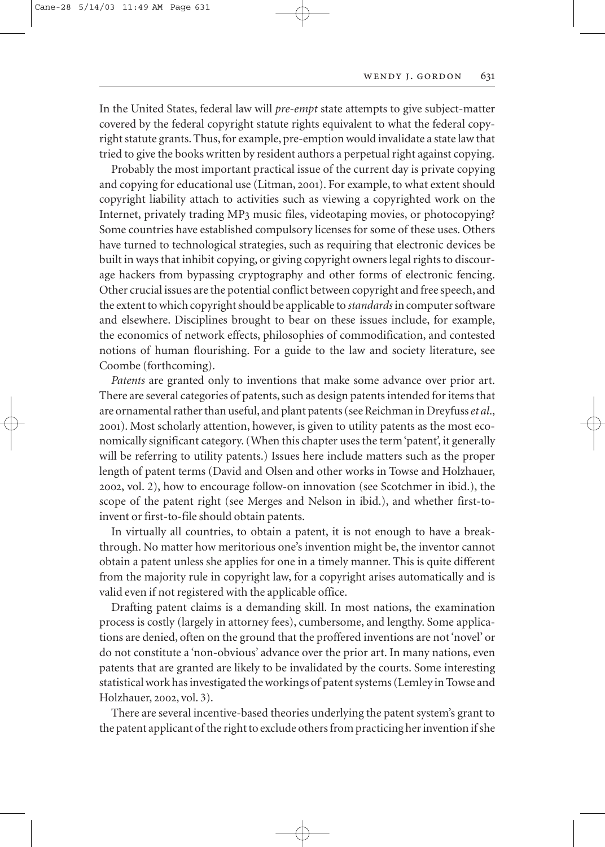In the United States, federal law will *pre-empt* state attempts to give subject-matter covered by the federal copyright statute rights equivalent to what the federal copyright statute grants. Thus, for example, pre-emption would invalidate a state law that tried to give the books written by resident authors a perpetual right against copying.

Probably the most important practical issue of the current day is private copying and copying for educational use (Litman, 2001). For example, to what extent should copyright liability attach to activities such as viewing a copyrighted work on the Internet, privately trading MP3 music files, videotaping movies, or photocopying? Some countries have established compulsory licenses for some of these uses. Others have turned to technological strategies, such as requiring that electronic devices be built in ways that inhibit copying, or giving copyright owners legal rights to discourage hackers from bypassing cryptography and other forms of electronic fencing. Other crucial issues are the potential conflict between copyright and free speech, and the extent to which copyright should be applicable to *standards*in computer software and elsewhere. Disciplines brought to bear on these issues include, for example, the economics of network effects, philosophies of commodification, and contested notions of human flourishing. For a guide to the law and society literature, see Coombe (forthcoming).

*Patents* are granted only to inventions that make some advance over prior art. There are several categories of patents, such as design patents intended for items that are ornamental rather than useful, and plant patents (see Reichman in Dreyfuss *et al*., ). Most scholarly attention, however, is given to utility patents as the most economically significant category. (When this chapter uses the term 'patent', it generally will be referring to utility patents.) Issues here include matters such as the proper length of patent terms (David and Olsen and other works in Towse and Holzhauer, , vol. 2), how to encourage follow-on innovation (see Scotchmer in ibid.), the scope of the patent right (see Merges and Nelson in ibid.), and whether first-toinvent or first-to-file should obtain patents.

In virtually all countries, to obtain a patent, it is not enough to have a breakthrough. No matter how meritorious one's invention might be, the inventor cannot obtain a patent unless she applies for one in a timely manner. This is quite different from the majority rule in copyright law, for a copyright arises automatically and is valid even if not registered with the applicable office.

Drafting patent claims is a demanding skill. In most nations, the examination process is costly (largely in attorney fees), cumbersome, and lengthy. Some applications are denied, often on the ground that the proffered inventions are not 'novel' or do not constitute a 'non-obvious' advance over the prior art. In many nations, even patents that are granted are likely to be invalidated by the courts. Some interesting statistical work has investigated the workings of patent systems (Lemley in Towse and Holzhauer, 2002, vol. 3).

There are several incentive-based theories underlying the patent system's grant to the patent applicant of the right to exclude others from practicing her invention if she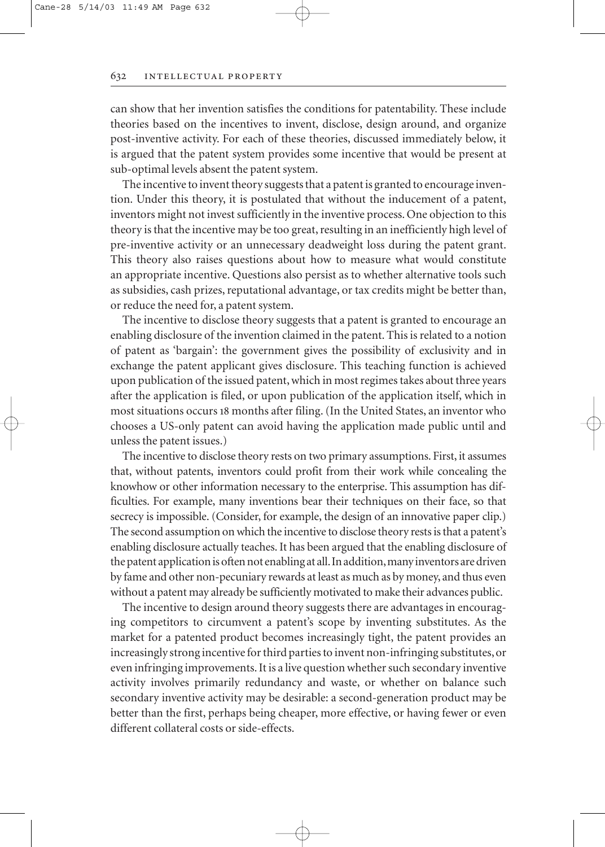can show that her invention satisfies the conditions for patentability. These include theories based on the incentives to invent, disclose, design around, and organize post-inventive activity. For each of these theories, discussed immediately below, it is argued that the patent system provides some incentive that would be present at sub-optimal levels absent the patent system.

The incentive to invent theory suggests that a patent is granted to encourage invention. Under this theory, it is postulated that without the inducement of a patent, inventors might not invest sufficiently in the inventive process. One objection to this theory is that the incentive may be too great, resulting in an inefficiently high level of pre-inventive activity or an unnecessary deadweight loss during the patent grant. This theory also raises questions about how to measure what would constitute an appropriate incentive. Questions also persist as to whether alternative tools such as subsidies, cash prizes, reputational advantage, or tax credits might be better than, or reduce the need for, a patent system.

The incentive to disclose theory suggests that a patent is granted to encourage an enabling disclosure of the invention claimed in the patent. This is related to a notion of patent as 'bargain': the government gives the possibility of exclusivity and in exchange the patent applicant gives disclosure. This teaching function is achieved upon publication of the issued patent, which in most regimes takes about three years after the application is filed, or upon publication of the application itself, which in most situations occurs 18 months after filing. (In the United States, an inventor who chooses a US-only patent can avoid having the application made public until and unless the patent issues.)

The incentive to disclose theory rests on two primary assumptions. First, it assumes that, without patents, inventors could profit from their work while concealing the knowhow or other information necessary to the enterprise. This assumption has difficulties. For example, many inventions bear their techniques on their face, so that secrecy is impossible. (Consider, for example, the design of an innovative paper clip.) The second assumption on which the incentive to disclose theory rests is that a patent's enabling disclosure actually teaches. It has been argued that the enabling disclosure of the patent application is often not enabling at all. In addition, many inventors are driven by fame and other non-pecuniary rewards at least as much as by money, and thus even without a patent may already be sufficiently motivated to make their advances public.

The incentive to design around theory suggests there are advantages in encouraging competitors to circumvent a patent's scope by inventing substitutes. As the market for a patented product becomes increasingly tight, the patent provides an increasingly strong incentive for third parties to invent non-infringing substitutes, or even infringing improvements. It is a live question whether such secondary inventive activity involves primarily redundancy and waste, or whether on balance such secondary inventive activity may be desirable: a second-generation product may be better than the first, perhaps being cheaper, more effective, or having fewer or even different collateral costs or side-effects.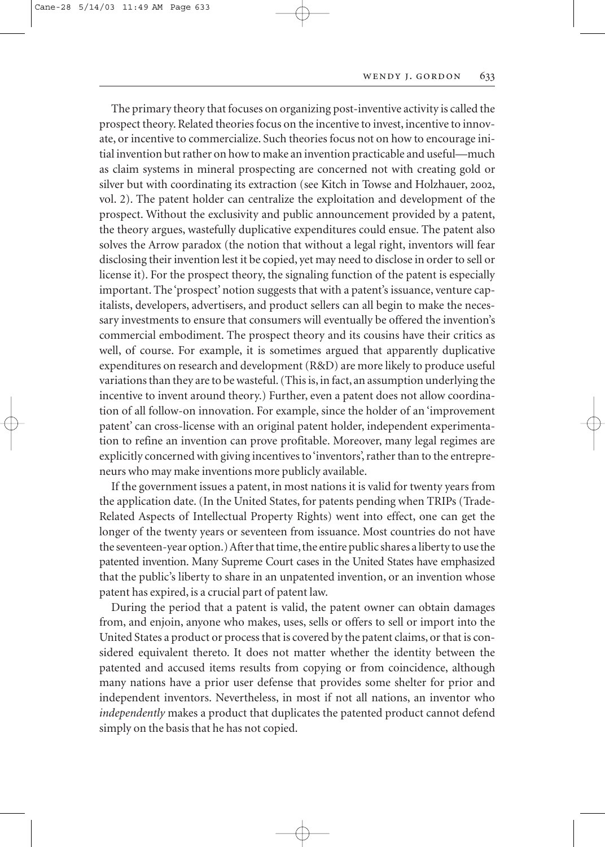The primary theory that focuses on organizing post-inventive activity is called the prospect theory. Related theories focus on the incentive to invest, incentive to innovate, or incentive to commercialize. Such theories focus not on how to encourage initial invention but rather on how to make an invention practicable and useful—much as claim systems in mineral prospecting are concerned not with creating gold or silver but with coordinating its extraction (see Kitch in Towse and Holzhauer, 2002, vol. 2). The patent holder can centralize the exploitation and development of the prospect. Without the exclusivity and public announcement provided by a patent, the theory argues, wastefully duplicative expenditures could ensue. The patent also solves the Arrow paradox (the notion that without a legal right, inventors will fear disclosing their invention lest it be copied, yet may need to disclose in order to sell or license it). For the prospect theory, the signaling function of the patent is especially important. The 'prospect' notion suggests that with a patent's issuance, venture capitalists, developers, advertisers, and product sellers can all begin to make the necessary investments to ensure that consumers will eventually be offered the invention's commercial embodiment. The prospect theory and its cousins have their critics as well, of course. For example, it is sometimes argued that apparently duplicative expenditures on research and development (R&D) are more likely to produce useful variations than they are to be wasteful. (This is, in fact, an assumption underlying the incentive to invent around theory.) Further, even a patent does not allow coordination of all follow-on innovation. For example, since the holder of an 'improvement patent' can cross-license with an original patent holder, independent experimentation to refine an invention can prove profitable. Moreover, many legal regimes are explicitly concerned with giving incentives to 'inventors', rather than to the entrepreneurs who may make inventions more publicly available.

If the government issues a patent, in most nations it is valid for twenty years from the application date. (In the United States, for patents pending when TRIPs (Trade-Related Aspects of Intellectual Property Rights) went into effect, one can get the longer of the twenty years or seventeen from issuance. Most countries do not have the seventeen-year option.) After that time, the entire public shares a liberty to use the patented invention. Many Supreme Court cases in the United States have emphasized that the public's liberty to share in an unpatented invention, or an invention whose patent has expired, is a crucial part of patent law.

During the period that a patent is valid, the patent owner can obtain damages from, and enjoin, anyone who makes, uses, sells or offers to sell or import into the United States a product or process that is covered by the patent claims, or that is considered equivalent thereto. It does not matter whether the identity between the patented and accused items results from copying or from coincidence, although many nations have a prior user defense that provides some shelter for prior and independent inventors. Nevertheless, in most if not all nations, an inventor who *independently* makes a product that duplicates the patented product cannot defend simply on the basis that he has not copied.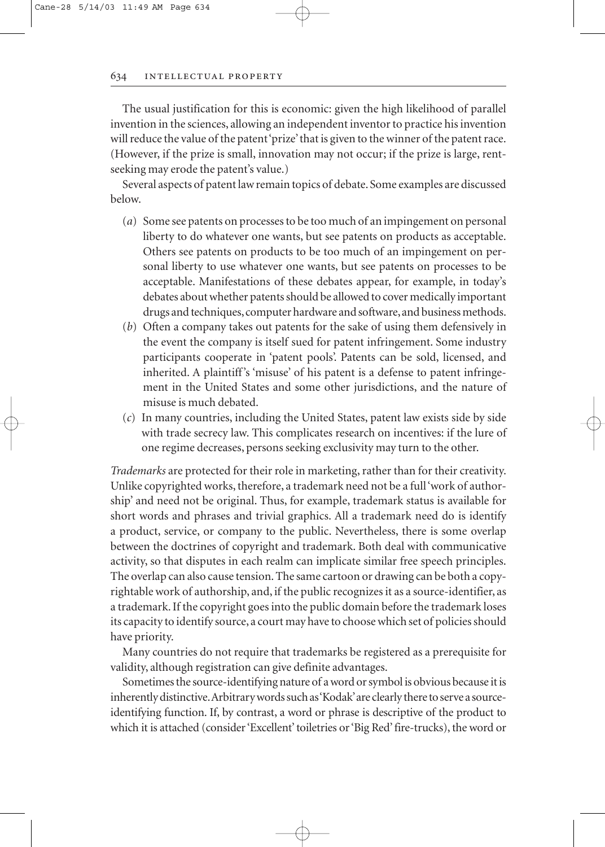The usual justification for this is economic: given the high likelihood of parallel invention in the sciences, allowing an independent inventor to practice his invention will reduce the value of the patent 'prize' that is given to the winner of the patent race. (However, if the prize is small, innovation may not occur; if the prize is large, rentseeking may erode the patent's value.)

Several aspects of patent law remain topics of debate. Some examples are discussed below.

- (*a*) Some see patents on processes to be too much of an impingement on personal liberty to do whatever one wants, but see patents on products as acceptable. Others see patents on products to be too much of an impingement on personal liberty to use whatever one wants, but see patents on processes to be acceptable. Manifestations of these debates appear, for example, in today's debates about whether patents should be allowed to cover medically important drugs and techniques, computer hardware and software, and business methods.
- (*b*) Often a company takes out patents for the sake of using them defensively in the event the company is itself sued for patent infringement. Some industry participants cooperate in 'patent pools'. Patents can be sold, licensed, and inherited. A plaintiff's 'misuse' of his patent is a defense to patent infringement in the United States and some other jurisdictions, and the nature of misuse is much debated.
- (*c*) In many countries, including the United States, patent law exists side by side with trade secrecy law. This complicates research on incentives: if the lure of one regime decreases, persons seeking exclusivity may turn to the other.

*Trademarks* are protected for their role in marketing, rather than for their creativity. Unlike copyrighted works, therefore, a trademark need not be a full 'work of authorship' and need not be original. Thus, for example, trademark status is available for short words and phrases and trivial graphics. All a trademark need do is identify a product, service, or company to the public. Nevertheless, there is some overlap between the doctrines of copyright and trademark. Both deal with communicative activity, so that disputes in each realm can implicate similar free speech principles. The overlap can also cause tension. The same cartoon or drawing can be both a copyrightable work of authorship, and, if the public recognizes it as a source-identifier, as a trademark. If the copyright goes into the public domain before the trademark loses its capacity to identify source, a court may have to choose which set of policies should have priority.

Many countries do not require that trademarks be registered as a prerequisite for validity, although registration can give definite advantages.

Sometimes the source-identifying nature of a word or symbol is obvious because it is inherently distinctive.Arbitrary words such as 'Kodak'are clearly there to serve a sourceidentifying function. If, by contrast, a word or phrase is descriptive of the product to which it is attached (consider 'Excellent' toiletries or 'Big Red' fire-trucks), the word or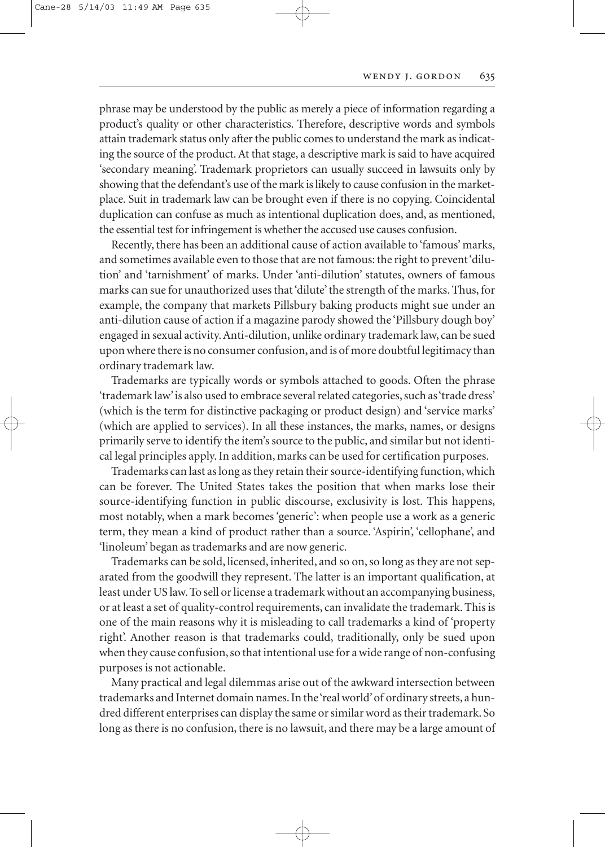phrase may be understood by the public as merely a piece of information regarding a product's quality or other characteristics. Therefore, descriptive words and symbols attain trademark status only after the public comes to understand the mark as indicating the source of the product. At that stage, a descriptive mark is said to have acquired 'secondary meaning'. Trademark proprietors can usually succeed in lawsuits only by showing that the defendant's use of the mark is likely to cause confusion in the marketplace. Suit in trademark law can be brought even if there is no copying. Coincidental duplication can confuse as much as intentional duplication does, and, as mentioned, the essential test for infringement is whether the accused use causes confusion.

Recently, there has been an additional cause of action available to 'famous' marks, and sometimes available even to those that are not famous: the right to prevent 'dilution' and 'tarnishment' of marks. Under 'anti-dilution' statutes, owners of famous marks can sue for unauthorized uses that 'dilute' the strength of the marks. Thus, for example, the company that markets Pillsbury baking products might sue under an anti-dilution cause of action if a magazine parody showed the 'Pillsbury dough boy' engaged in sexual activity. Anti-dilution, unlike ordinary trademark law, can be sued upon where there is no consumer confusion, and is of more doubtful legitimacy than ordinary trademark law.

Trademarks are typically words or symbols attached to goods. Often the phrase 'trademark law'is also used to embrace several related categories, such as 'trade dress' (which is the term for distinctive packaging or product design) and 'service marks' (which are applied to services). In all these instances, the marks, names, or designs primarily serve to identify the item's source to the public, and similar but not identical legal principles apply. In addition, marks can be used for certification purposes.

Trademarks can last as long as they retain their source-identifying function, which can be forever. The United States takes the position that when marks lose their source-identifying function in public discourse, exclusivity is lost. This happens, most notably, when a mark becomes 'generic': when people use a work as a generic term, they mean a kind of product rather than a source. 'Aspirin', 'cellophane', and 'linoleum' began as trademarks and are now generic.

Trademarks can be sold, licensed, inherited, and so on, so long as they are not separated from the goodwill they represent. The latter is an important qualification, at least under US law. To sell or license a trademark without an accompanying business, or at least a set of quality-control requirements, can invalidate the trademark. This is one of the main reasons why it is misleading to call trademarks a kind of 'property right'. Another reason is that trademarks could, traditionally, only be sued upon when they cause confusion, so that intentional use for a wide range of non-confusing purposes is not actionable.

Many practical and legal dilemmas arise out of the awkward intersection between trademarks and Internet domain names. In the 'real world'of ordinary streets, a hundred different enterprises can display the same or similar word as their trademark. So long as there is no confusion, there is no lawsuit, and there may be a large amount of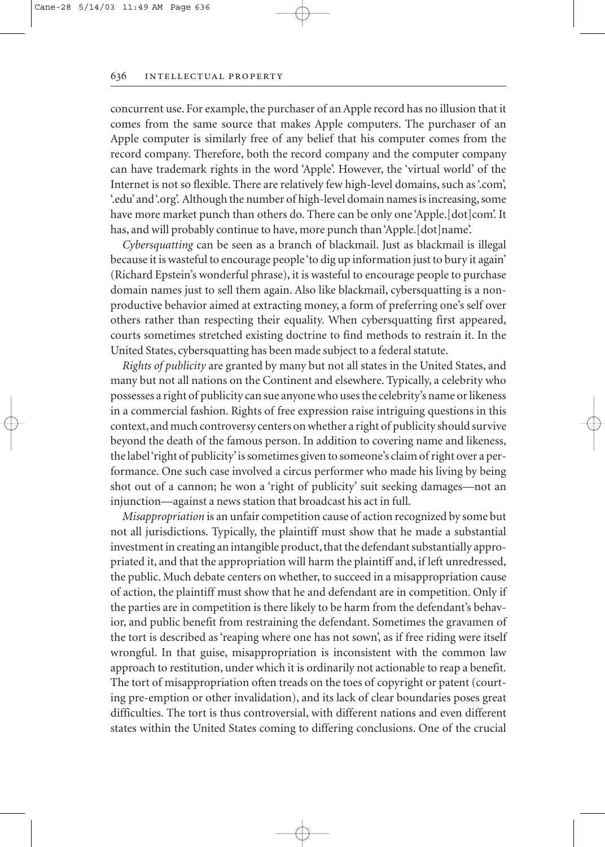concurrent use. For example, the purchaser of an Apple record has no illusion that it comes from the same source that makes Apple computers. The purchaser of an Apple computer is similarly free of any belief that his computer comes from the record company. Therefore, both the record company and the computer company can have trademark rights in the word 'Apple'. However, the 'virtual world' of the Internet is not so flexible. There are relatively few high-level domains, such as '.com', '.edu'and '.org'. Although the number of high-level domain names is increasing, some have more market punch than others do. There can be only one 'Apple. [dot]com'. It has, and will probably continue to have, more punch than 'Apple.[dot]name'.

*Cybersquatting* can be seen as a branch of blackmail. Just as blackmail is illegal because it is wasteful to encourage people 'to dig up information just to bury it again' (Richard Epstein's wonderful phrase), it is wasteful to encourage people to purchase domain names just to sell them again. Also like blackmail, cybersquatting is a nonproductive behavior aimed at extracting money, a form of preferring one's self over others rather than respecting their equality. When cybersquatting first appeared, courts sometimes stretched existing doctrine to find methods to restrain it. In the United States, cybersquatting has been made subject to a federal statute.

*Rights of publicity* are granted by many but not all states in the United States, and many but not all nations on the Continent and elsewhere. Typically, a celebrity who possesses a right of publicity can sue anyone who uses the celebrity's name or likeness in a commercial fashion. Rights of free expression raise intriguing questions in this context, and much controversy centers on whether a right of publicity should survive beyond the death of the famous person. In addition to covering name and likeness, the label 'right of publicity'is sometimes given to someone's claim of right over a performance. One such case involved a circus performer who made his living by being shot out of a cannon; he won a 'right of publicity' suit seeking damages—not an injunction—against a news station that broadcast his act in full.

*Misappropriation* is an unfair competition cause of action recognized by some but not all jurisdictions. Typically, the plaintiff must show that he made a substantial investment in creating an intangible product, that the defendant substantially appropriated it, and that the appropriation will harm the plaintiff and, if left unredressed, the public. Much debate centers on whether, to succeed in a misappropriation cause of action, the plaintiff must show that he and defendant are in competition. Only if the parties are in competition is there likely to be harm from the defendant's behavior, and public benefit from restraining the defendant. Sometimes the gravamen of the tort is described as 'reaping where one has not sown', as if free riding were itself wrongful. In that guise, misappropriation is inconsistent with the common law approach to restitution, under which it is ordinarily not actionable to reap a benefit. The tort of misappropriation often treads on the toes of copyright or patent (courting pre-emption or other invalidation), and its lack of clear boundaries poses great difficulties. The tort is thus controversial, with different nations and even different states within the United States coming to differing conclusions. One of the crucial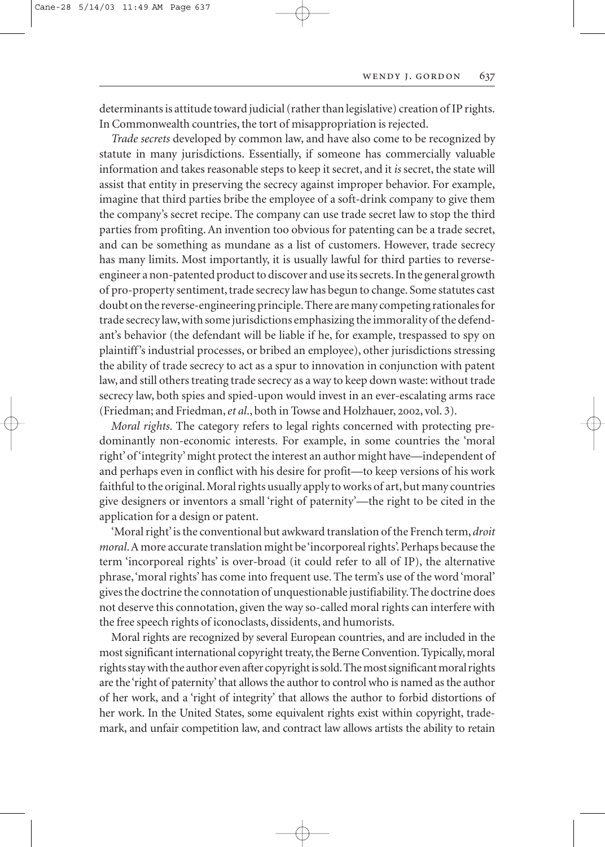determinants is attitude toward judicial (rather than legislative) creation of IP rights. In Commonwealth countries, the tort of misappropriation is rejected.

*Trade secrets* developed by common law, and have also come to be recognized by statute in many jurisdictions. Essentially, if someone has commercially valuable information and takes reasonable steps to keep it secret, and it *is* secret, the state will assist that entity in preserving the secrecy against improper behavior. For example, imagine that third parties bribe the employee of a soft-drink company to give them the company's secret recipe. The company can use trade secret law to stop the third parties from profiting. An invention too obvious for patenting can be a trade secret, and can be something as mundane as a list of customers. However, trade secrecy has many limits. Most importantly, it is usually lawful for third parties to reverseengineer a non-patented product to discover and use its secrets.In the general growth of pro-property sentiment, trade secrecy law has begun to change. Some statutes cast doubt on the reverse-engineering principle.There are many competing rationales for trade secrecy law, with some jurisdictions emphasizing the immorality of the defendant's behavior (the defendant will be liable if he, for example, trespassed to spy on plaintiff's industrial processes, or bribed an employee), other jurisdictions stressing the ability of trade secrecy to act as a spur to innovation in conjunction with patent law, and still others treating trade secrecy as a way to keep down waste: without trade secrecy law, both spies and spied-upon would invest in an ever-escalating arms race (Friedman; and Friedman, et al., both in Towse and Holzhauer, 2002, vol. 3).

*Moral rights*. The category refers to legal rights concerned with protecting predominantly non-economic interests. For example, in some countries the 'moral right' of 'integrity' might protect the interest an author might have—independent of and perhaps even in conflict with his desire for profit—to keep versions of his work faithful to the original. Moral rights usually apply to works of art, but many countries give designers or inventors a small 'right of paternity'—the right to be cited in the application for a design or patent.

'Moral right'is the conventional but awkward translation of the French term, *droit moral*.A more accurate translation might be 'incorporeal rights'. Perhaps because the term 'incorporeal rights' is over-broad (it could refer to all of IP), the alternative phrase,'moral rights' has come into frequent use. The term's use of the word 'moral' gives the doctrine the connotation of unquestionable justifiability. The doctrine does not deserve this connotation, given the way so-called moral rights can interfere with the free speech rights of iconoclasts, dissidents, and humorists.

Moral rights are recognized by several European countries, and are included in the most significant international copyright treaty, the Berne Convention. Typically, moral rights stay with the author even after copyright is sold.The most significant moral rights are the 'right of paternity' that allows the author to control who is named as the author of her work, and a 'right of integrity' that allows the author to forbid distortions of her work. In the United States, some equivalent rights exist within copyright, trademark, and unfair competition law, and contract law allows artists the ability to retain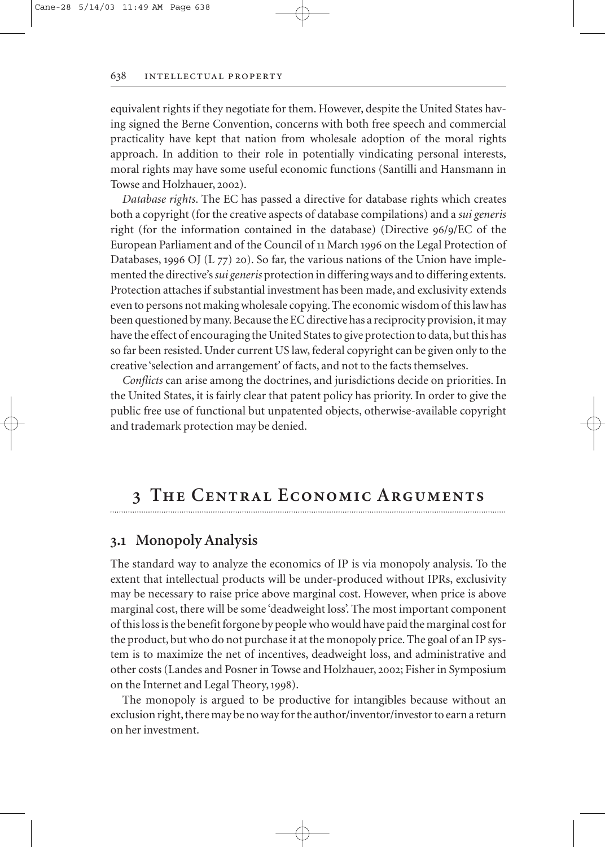equivalent rights if they negotiate for them. However, despite the United States having signed the Berne Convention, concerns with both free speech and commercial practicality have kept that nation from wholesale adoption of the moral rights approach. In addition to their role in potentially vindicating personal interests, moral rights may have some useful economic functions (Santilli and Hansmann in Towse and Holzhauer, 2002).

*Database rights*. The EC has passed a directive for database rights which creates both a copyright (for the creative aspects of database compilations) and a *sui generis* right (for the information contained in the database) (Directive  $96/9/EC$  of the European Parliament and of the Council of 11 March 1996 on the Legal Protection of Databases, 1996 OJ (L  $77$ ) 20). So far, the various nations of the Union have implemented the directive's *sui generis* protection in differing ways and to differing extents. Protection attaches if substantial investment has been made, and exclusivity extends even to persons not making wholesale copying. The economic wisdom of this law has been questioned by many. Because the EC directive has a reciprocity provision, it may have the effect of encouraging the United States to give protection to data, but this has so far been resisted. Under current US law, federal copyright can be given only to the creative 'selection and arrangement' of facts, and not to the facts themselves.

*Conflicts* can arise among the doctrines, and jurisdictions decide on priorities. In the United States, it is fairly clear that patent policy has priority. In order to give the public free use of functional but unpatented objects, otherwise-available copyright and trademark protection may be denied.

### **The Central Economic Arguments**

### **. Monopoly Analysis**

The standard way to analyze the economics of IP is via monopoly analysis. To the extent that intellectual products will be under-produced without IPRs, exclusivity may be necessary to raise price above marginal cost. However, when price is above marginal cost, there will be some 'deadweight loss'. The most important component of this loss is the benefit forgone by people who would have paid the marginal cost for the product, but who do not purchase it at the monopoly price. The goal of an IP system is to maximize the net of incentives, deadweight loss, and administrative and other costs (Landes and Posner in Towse and Holzhauer, 2002; Fisher in Symposium on the Internet and Legal Theory, 1998).

The monopoly is argued to be productive for intangibles because without an exclusion right, there may be no way for the author/inventor/investor to earn a return on her investment.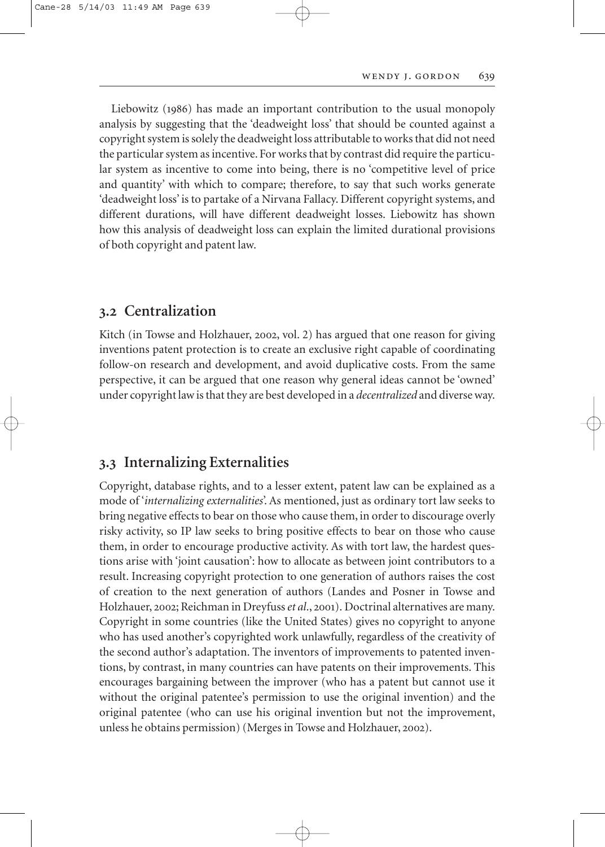Liebowitz (1986) has made an important contribution to the usual monopoly analysis by suggesting that the 'deadweight loss' that should be counted against a copyright system is solely the deadweight loss attributable to works that did not need the particular system as incentive. For works that by contrast did require the particular system as incentive to come into being, there is no 'competitive level of price and quantity' with which to compare; therefore, to say that such works generate 'deadweight loss' is to partake of a Nirvana Fallacy. Different copyright systems, and different durations, will have different deadweight losses. Liebowitz has shown how this analysis of deadweight loss can explain the limited durational provisions of both copyright and patent law.

### **. Centralization**

Kitch (in Towse and Holzhauer, 2002, vol. 2) has argued that one reason for giving inventions patent protection is to create an exclusive right capable of coordinating follow-on research and development, and avoid duplicative costs. From the same perspective, it can be argued that one reason why general ideas cannot be 'owned' under copyright law is that they are best developed in a *decentralized* and diverse way.

### **. Internalizing Externalities**

Copyright, database rights, and to a lesser extent, patent law can be explained as a mode of '*internalizing externalities*'. As mentioned, just as ordinary tort law seeks to bring negative effects to bear on those who cause them, in order to discourage overly risky activity, so IP law seeks to bring positive effects to bear on those who cause them, in order to encourage productive activity. As with tort law, the hardest questions arise with 'joint causation': how to allocate as between joint contributors to a result. Increasing copyright protection to one generation of authors raises the cost of creation to the next generation of authors (Landes and Posner in Towse and Holzhauer, 2002; Reichman in Dreyfuss *et al.*, 2001). Doctrinal alternatives are many. Copyright in some countries (like the United States) gives no copyright to anyone who has used another's copyrighted work unlawfully, regardless of the creativity of the second author's adaptation. The inventors of improvements to patented inventions, by contrast, in many countries can have patents on their improvements. This encourages bargaining between the improver (who has a patent but cannot use it without the original patentee's permission to use the original invention) and the original patentee (who can use his original invention but not the improvement, unless he obtains permission) (Merges in Towse and Holzhauer, 2002).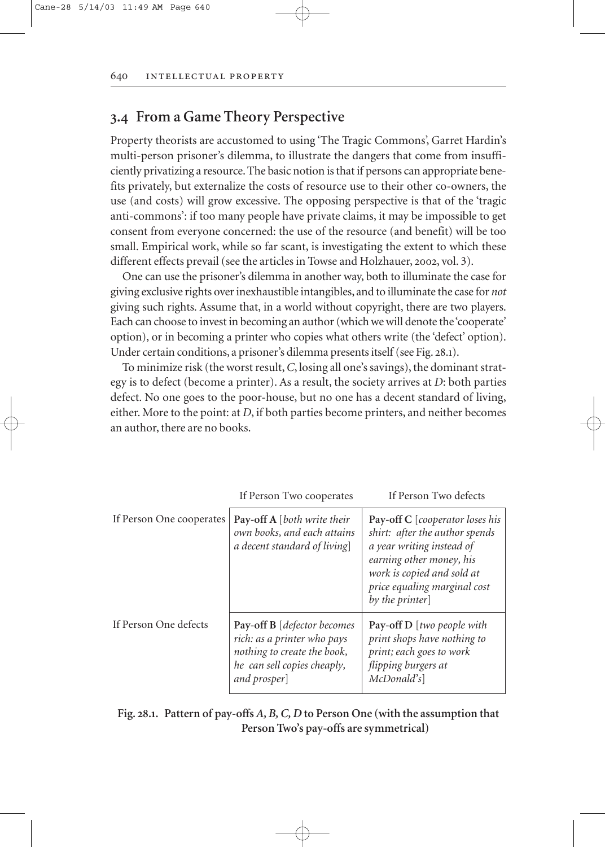### **. From a Game Theory Perspective**

Property theorists are accustomed to using 'The Tragic Commons', Garret Hardin's multi-person prisoner's dilemma, to illustrate the dangers that come from insufficiently privatizing a resource. The basic notion is that if persons can appropriate benefits privately, but externalize the costs of resource use to their other co-owners, the use (and costs) will grow excessive. The opposing perspective is that of the 'tragic anti-commons': if too many people have private claims, it may be impossible to get consent from everyone concerned: the use of the resource (and benefit) will be too small. Empirical work, while so far scant, is investigating the extent to which these different effects prevail (see the articles in Towse and Holzhauer, 2002, vol. 3).

One can use the prisoner's dilemma in another way, both to illuminate the case for giving exclusive rights over inexhaustible intangibles, and to illuminate the case for *not* giving such rights. Assume that, in a world without copyright, there are two players. Each can choose to invest in becoming an author (which we will denote the 'cooperate' option), or in becoming a printer who copies what others write (the 'defect' option). Under certain conditions, a prisoner's dilemma presents itself (see Fig. 28.1).

To minimize risk (the worst result,*C*, losing all one's savings), the dominant strategy is to defect (become a printer). As a result, the society arrives at *D*: both parties defect. No one goes to the poor-house, but no one has a decent standard of living, either. More to the point: at *D*, if both parties become printers, and neither becomes an author, there are no books.

|                          | If Person Two cooperates                                                                                                                 | If Person Two defects                                                                                                                                                                                      |
|--------------------------|------------------------------------------------------------------------------------------------------------------------------------------|------------------------------------------------------------------------------------------------------------------------------------------------------------------------------------------------------------|
| If Person One cooperates | <b>Pay-off A</b> [both write their<br>own books, and each attains<br>a decent standard of living]                                        | Pay-off C [cooperator loses his<br>shirt: after the author spends<br>a year writing instead of<br>earning other money, his<br>work is copied and sold at<br>price equaling marginal cost<br>by the printer |
| If Person One defects    | Pay-off B [defector becomes<br>rich: as a printer who pays<br>nothing to create the book,<br>he can sell copies cheaply,<br>and prosper] | Pay-off D [two people with<br>print shops have nothing to<br>print; each goes to work<br>flipping burgers at<br>McDonald's                                                                                 |

**Fig. 28.1. Pattern of pay-offs** *A, B, C, D* **to Person One (with the assumption that Person Two's pay-offs are symmetrical)**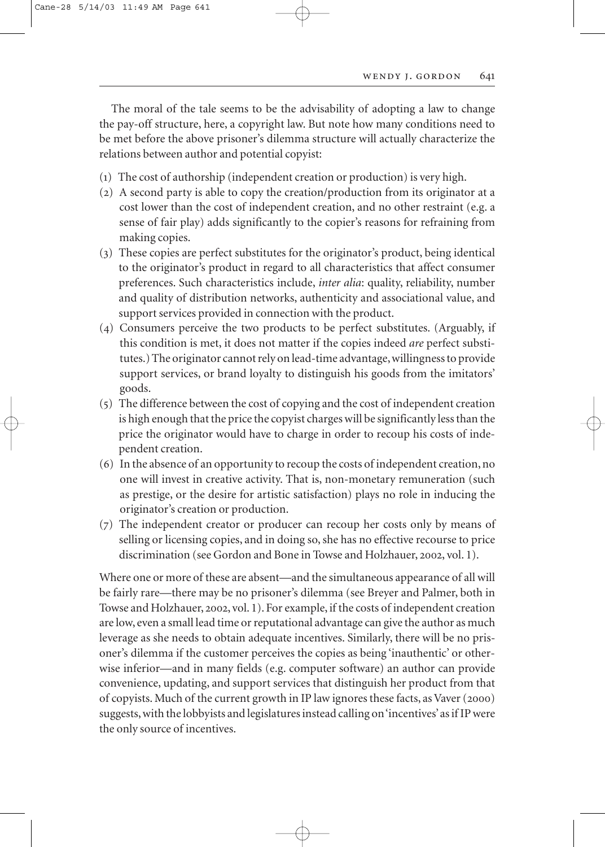The moral of the tale seems to be the advisability of adopting a law to change the pay-off structure, here, a copyright law. But note how many conditions need to be met before the above prisoner's dilemma structure will actually characterize the relations between author and potential copyist:

- $(1)$  The cost of authorship (independent creation or production) is very high.
- (2) A second party is able to copy the creation/production from its originator at a cost lower than the cost of independent creation, and no other restraint (e.g. a sense of fair play) adds significantly to the copier's reasons for refraining from making copies.
- () These copies are perfect substitutes for the originator's product, being identical to the originator's product in regard to all characteristics that affect consumer preferences. Such characteristics include, *inter alia*: quality, reliability, number and quality of distribution networks, authenticity and associational value, and support services provided in connection with the product.
- () Consumers perceive the two products to be perfect substitutes. (Arguably, if this condition is met, it does not matter if the copies indeed *are* perfect substitutes.) The originator cannot rely on lead-time advantage,willingness to provide support services, or brand loyalty to distinguish his goods from the imitators' goods.
- $(5)$  The difference between the cost of copying and the cost of independent creation is high enough that the price the copyist charges will be significantly less than the price the originator would have to charge in order to recoup his costs of independent creation.
- () In the absence of an opportunity to recoup the costs of independent creation, no one will invest in creative activity. That is, non-monetary remuneration (such as prestige, or the desire for artistic satisfaction) plays no role in inducing the originator's creation or production.
- $(7)$  The independent creator or producer can recoup her costs only by means of selling or licensing copies, and in doing so, she has no effective recourse to price discrimination (see Gordon and Bone in Towse and Holzhauer, 2002, vol. 1).

Where one or more of these are absent—and the simultaneous appearance of all will be fairly rare—there may be no prisoner's dilemma (see Breyer and Palmer, both in Towse and Holzhauer, 2002, vol. 1). For example, if the costs of independent creation are low, even a small lead time or reputational advantage can give the author as much leverage as she needs to obtain adequate incentives. Similarly, there will be no prisoner's dilemma if the customer perceives the copies as being 'inauthentic' or otherwise inferior—and in many fields (e.g. computer software) an author can provide convenience, updating, and support services that distinguish her product from that of copyists. Much of the current growth in IP law ignores these facts, as Vaver (2000) suggests, with the lobbyists and legislatures instead calling on 'incentives'as if IP were the only source of incentives.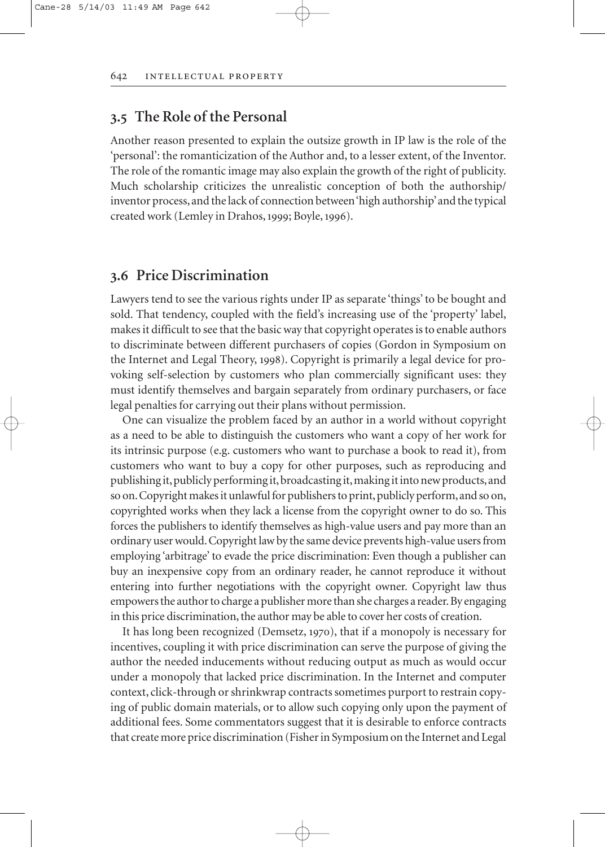### **. The Role of the Personal**

Another reason presented to explain the outsize growth in IP law is the role of the 'personal': the romanticization of the Author and, to a lesser extent, of the Inventor. The role of the romantic image may also explain the growth of the right of publicity. Much scholarship criticizes the unrealistic conception of both the authorship/ inventor process,and the lack of connection between 'high authorship'and the typical created work (Lemley in Drahos, 1999; Boyle, 1996).

### **. Price Discrimination**

Lawyers tend to see the various rights under IP as separate 'things' to be bought and sold. That tendency, coupled with the field's increasing use of the 'property' label, makes it difficult to see that the basic way that copyright operates is to enable authors to discriminate between different purchasers of copies (Gordon in Symposium on the Internet and Legal Theory, 1998). Copyright is primarily a legal device for provoking self-selection by customers who plan commercially significant uses: they must identify themselves and bargain separately from ordinary purchasers, or face legal penalties for carrying out their plans without permission.

One can visualize the problem faced by an author in a world without copyright as a need to be able to distinguish the customers who want a copy of her work for its intrinsic purpose (e.g. customers who want to purchase a book to read it), from customers who want to buy a copy for other purposes, such as reproducing and publishing it,publicly performing it,broadcasting it,making it into new products,and so on. Copyright makes it unlawful for publishers to print, publicly perform, and so on, copyrighted works when they lack a license from the copyright owner to do so. This forces the publishers to identify themselves as high-value users and pay more than an ordinary user would. Copyright law by the same device prevents high-value users from employing 'arbitrage' to evade the price discrimination: Even though a publisher can buy an inexpensive copy from an ordinary reader, he cannot reproduce it without entering into further negotiations with the copyright owner. Copyright law thus empowers the author to charge a publisher more than she charges a reader. By engaging in this price discrimination, the author may be able to cover her costs of creation.

It has long been recognized (Demsetz, 1970), that if a monopoly is necessary for incentives, coupling it with price discrimination can serve the purpose of giving the author the needed inducements without reducing output as much as would occur under a monopoly that lacked price discrimination. In the Internet and computer context, click-through or shrinkwrap contracts sometimes purport to restrain copying of public domain materials, or to allow such copying only upon the payment of additional fees. Some commentators suggest that it is desirable to enforce contracts that create more price discrimination (Fisher in Symposium on the Internet and Legal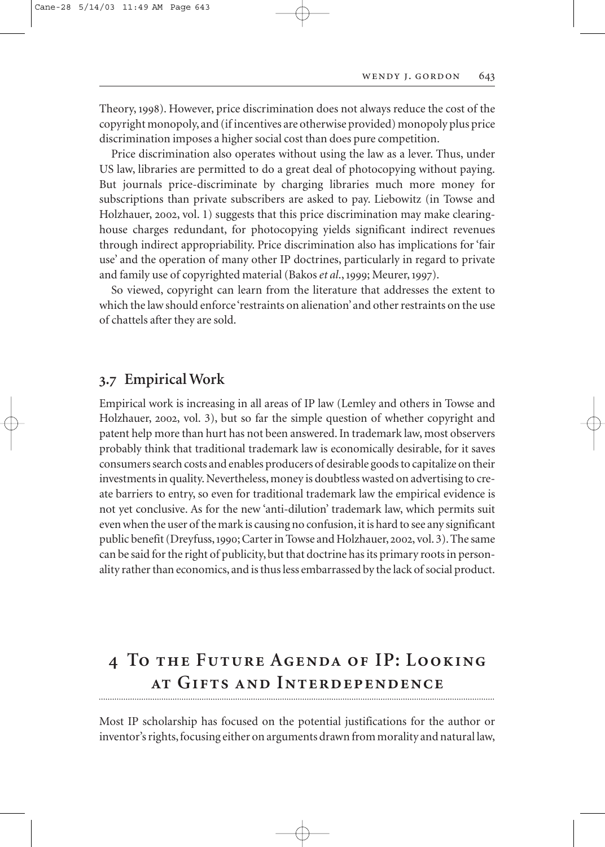Theory, 1998). However, price discrimination does not always reduce the cost of the copyright monopoly, and (if incentives are otherwise provided) monopoly plus price discrimination imposes a higher social cost than does pure competition.

Price discrimination also operates without using the law as a lever. Thus, under US law, libraries are permitted to do a great deal of photocopying without paying. But journals price-discriminate by charging libraries much more money for subscriptions than private subscribers are asked to pay. Liebowitz (in Towse and Holzhauer, 2002, vol. 1) suggests that this price discrimination may make clearinghouse charges redundant, for photocopying yields significant indirect revenues through indirect appropriability. Price discrimination also has implications for 'fair use' and the operation of many other IP doctrines, particularly in regard to private and family use of copyrighted material (Bakos et al., 1999; Meurer, 1997).

So viewed, copyright can learn from the literature that addresses the extent to which the law should enforce 'restraints on alienation' and other restraints on the use of chattels after they are sold.

### **. Empirical Work**

Empirical work is increasing in all areas of IP law (Lemley and others in Towse and Holzhauer, 2002, vol. 3), but so far the simple question of whether copyright and patent help more than hurt has not been answered. In trademark law, most observers probably think that traditional trademark law is economically desirable, for it saves consumers search costs and enables producers of desirable goods to capitalize on their investments in quality. Nevertheless, money is doubtless wasted on advertising to create barriers to entry, so even for traditional trademark law the empirical evidence is not yet conclusive. As for the new 'anti-dilution' trademark law, which permits suit even when the user of the mark is causing no confusion, it is hard to see any significant public benefit (Dreyfuss, 1990; Carter in Towse and Holzhauer, 2002, vol. 3). The same can be said for the right of publicity, but that doctrine has its primary roots in personality rather than economics, and is thus less embarrassed by the lack of social product.

### **To the Future Agenda of IP: Looking at Gifts and Interdependence**

Most IP scholarship has focused on the potential justifications for the author or inventor's rights, focusing either on arguments drawn from morality and natural law,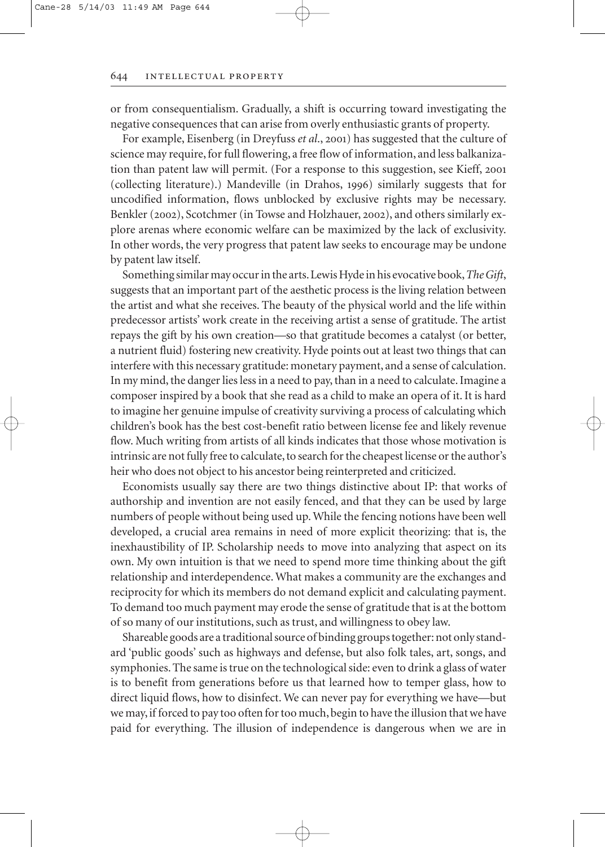or from consequentialism. Gradually, a shift is occurring toward investigating the negative consequences that can arise from overly enthusiastic grants of property.

For example, Eisenberg (in Dreyfuss *et al.*, 2001) has suggested that the culture of science may require, for full flowering, a free flow of information, and less balkanization than patent law will permit. (For a response to this suggestion, see Kieff, 2001) (collecting literature).) Mandeville (in Drahos, 1996) similarly suggests that for uncodified information, flows unblocked by exclusive rights may be necessary. Benkler (2002), Scotchmer (in Towse and Holzhauer, 2002), and others similarly explore arenas where economic welfare can be maximized by the lack of exclusivity. In other words, the very progress that patent law seeks to encourage may be undone by patent law itself.

Something similar may occur in the arts.Lewis Hyde in his evocative book,*The Gift*, suggests that an important part of the aesthetic process is the living relation between the artist and what she receives. The beauty of the physical world and the life within predecessor artists' work create in the receiving artist a sense of gratitude. The artist repays the gift by his own creation—so that gratitude becomes a catalyst (or better, a nutrient fluid) fostering new creativity. Hyde points out at least two things that can interfere with this necessary gratitude: monetary payment, and a sense of calculation. In my mind, the danger lies less in a need to pay, than in a need to calculate. Imagine a composer inspired by a book that she read as a child to make an opera of it. It is hard to imagine her genuine impulse of creativity surviving a process of calculating which children's book has the best cost-benefit ratio between license fee and likely revenue flow. Much writing from artists of all kinds indicates that those whose motivation is intrinsic are not fully free to calculate, to search for the cheapest license or the author's heir who does not object to his ancestor being reinterpreted and criticized.

Economists usually say there are two things distinctive about IP: that works of authorship and invention are not easily fenced, and that they can be used by large numbers of people without being used up. While the fencing notions have been well developed, a crucial area remains in need of more explicit theorizing: that is, the inexhaustibility of IP. Scholarship needs to move into analyzing that aspect on its own. My own intuition is that we need to spend more time thinking about the gift relationship and interdependence. What makes a community are the exchanges and reciprocity for which its members do not demand explicit and calculating payment. To demand too much payment may erode the sense of gratitude that is at the bottom of so many of our institutions, such as trust, and willingness to obey law.

Shareable goods are a traditional source of binding groups together: not only standard 'public goods' such as highways and defense, but also folk tales, art, songs, and symphonies. The same is true on the technological side: even to drink a glass of water is to benefit from generations before us that learned how to temper glass, how to direct liquid flows, how to disinfect. We can never pay for everything we have—but we may, if forced to pay too often for too much, begin to have the illusion that we have paid for everything. The illusion of independence is dangerous when we are in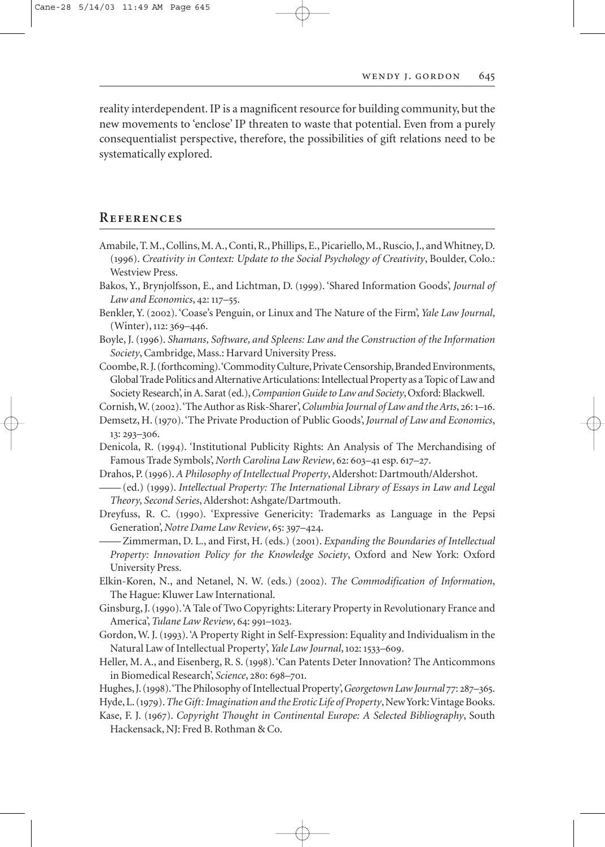reality interdependent. IP is a magnificent resource for building community, but the new movements to 'enclose' IP threaten to waste that potential. Even from a purely consequentialist perspective, therefore, the possibilities of gift relations need to be systematically explored.

### **References**

- Amabile, T. M., Collins, M. A., Conti, R., Phillips, E., Picariello, M., Ruscio, J., and Whitney, D. (). *Creativity in Context: Update to the Social Psychology of Creativity*, Boulder, Colo.: Westview Press.
- Bakos, Y., Brynjolfsson, E., and Lichtman, D. (). 'Shared Information Goods', *Journal of Law and Economics*, 42: 117–55.
- Benkler, Y. (). 'Coase's Penguin, or Linux and The Nature of the Firm', *Yale Law Journal*,  $(Winter)$ , 112: 369-446.
- Boyle, J. (). *Shamans, Software, and Spleens: Law and the Construction of the Information Society*, Cambridge, Mass.: Harvard University Press.
- Coombe,R.J.(forthcoming).'Commodity Culture,Private Censorship,Branded Environments, Global Trade Politics and Alternative Articulations: Intellectual Property as a Topic of Law and Society Research', in A. Sarat (ed.),*Companion Guide to Law and Society*, Oxford: Blackwell.

Cornish, W. (2002). 'The Author as Risk-Sharer', *Columbia Journal of Law and the Arts*, 26: 1–16.

- Demsetz, H. (1970). 'The Private Production of Public Goods', *Journal of Law and Economics*, 13: 293-306.
- Denicola, R. (1994). 'Institutional Publicity Rights: An Analysis of The Merchandising of Famous Trade Symbols', *North Carolina Law Review*, 62: 603-41 esp. 617-27.
- Drahos, P. ().*A Philosophy of Intellectual Property*, Aldershot: Dartmouth/Aldershot.
- ——(ed.) (). *Intellectual Property: The International Library of Essays in Law and Legal Theory, Second Series*, Aldershot: Ashgate/Dartmouth.
- Dreyfuss, R. C. (1990). 'Expressive Genericity: Trademarks as Language in the Pepsi Generation', *Notre Dame Law Review*, 65: 397–424.
- Zimmerman, D. L., and First, H. (eds.) (2001). *Expanding the Boundaries of Intellectual Property: Innovation Policy for the Knowledge Society*, Oxford and New York: Oxford University Press.
- Elkin-Koren, N., and Netanel, N. W. (eds.) (2002). *The Commodification of Information*, The Hague: Kluwer Law International.
- Ginsburg, J. (1990). A Tale of Two Copyrights: Literary Property in Revolutionary France and America', *Tulane Law Review*, 64: 991-1023.
- Gordon, W. J. (1993). 'A Property Right in Self-Expression: Equality and Individualism in the Natural Law of Intellectual Property', *Yale Law Journal*, 102: 1533-609.
- Heller, M. A., and Eisenberg, R. S. (1998). 'Can Patents Deter Innovation? The Anticommons in Biomedical Research', *Science*, 280: 698-701.
- Hughes, J. (1998). 'The Philosophy of Intellectual Property', *Georgetown Law Journal 77*: 287–365.
- Hyde, L. (1979). The Gift: Imagination and the Erotic Life of Property, New York: Vintage Books.
- Kase, F. J. (). *Copyright Thought in Continental Europe: A Selected Bibliography*, South Hackensack, NJ: Fred B. Rothman & Co.